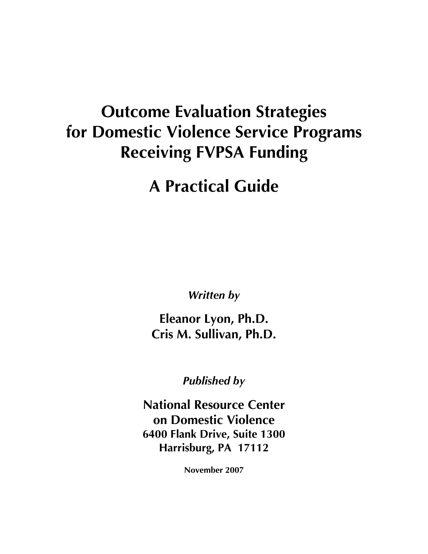## **Outcome Evaluation Strategies for Domestic Violence Service Programs Receiving FVPSA Funding**

## **A Practical Guide**

*Written by*

**Eleanor Lyon, Ph.D. Cris M. Sullivan, Ph.D.**

*Published by*

**National Resource Center on Domestic Violence 6400 Flank Drive, Suite 1300 Harrisburg, PA 17112**

**November 2007**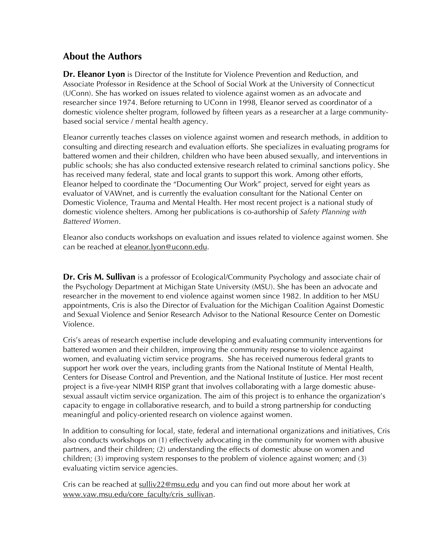#### **About the Authors**

**Dr. Eleanor Lyon** is Director of the Institute for Violence Prevention and Reduction, and Associate Professor in Residence at the School of Social Work at the University of Connecticut (UConn). She has worked on issues related to violence against women as an advocate and researcher since 1974. Before returning to UConn in 1998, Eleanor served as coordinator of a domestic violence shelter program, followed by fifteen years as a researcher at a large communitybased social service / mental health agency.

Eleanor currently teaches classes on violence against women and research methods, in addition to consulting and directing research and evaluation efforts. She specializes in evaluating programs for battered women and their children, children who have been abused sexually, and interventions in public schools; she has also conducted extensive research related to criminal sanctions policy. She has received many federal, state and local grants to support this work. Among other efforts, Eleanor helped to coordinate the "Documenting Our Work" project, served for eight years as evaluator of VAWnet, and is currently the evaluation consultant for the National Center on Domestic Violence, Trauma and Mental Health. Her most recent project is a national study of domestic violence shelters. Among her publications is co-authorship of *Safety Planning with Battered Women*.

Eleanor also conducts workshops on evaluation and issues related to violence against women. She can be reached at eleanor.lyon@uconn.edu.

**Dr. Cris M. Sullivan** is a professor of Ecological/Community Psychology and associate chair of the Psychology Department at Michigan State University (MSU). She has been an advocate and researcher in the movement to end violence against women since 1982. In addition to her MSU appointments, Cris is also the Director of Evaluation for the Michigan Coalition Against Domestic and Sexual Violence and Senior Research Advisor to the National Resource Center on Domestic Violence.

Cris's areas of research expertise include developing and evaluating community interventions for battered women and their children, improving the community response to violence against women, and evaluating victim service programs. She has received numerous federal grants to support her work over the years, including grants from the National Institute of Mental Health, Centers for Disease Control and Prevention, and the National Institute of Justice. Her most recent project is a five-year NIMH RISP grant that involves collaborating with a large domestic abusesexual assault victim service organization. The aim of this project is to enhance the organization's capacity to engage in collaborative research, and to build a strong partnership for conducting meaningful and policy-oriented research on violence against women.

In addition to consulting for local, state, federal and international organizations and initiatives, Cris also conducts workshops on (1) effectively advocating in the community for women with abusive partners, and their children; (2) understanding the effects of domestic abuse on women and children; (3) improving system responses to the problem of violence against women; and (3) evaluating victim service agencies.

Cris can be reached at sulliv22@msu.edu and you can find out more about her work at www.vaw.msu.edu/core\_faculty/cris\_sullivan.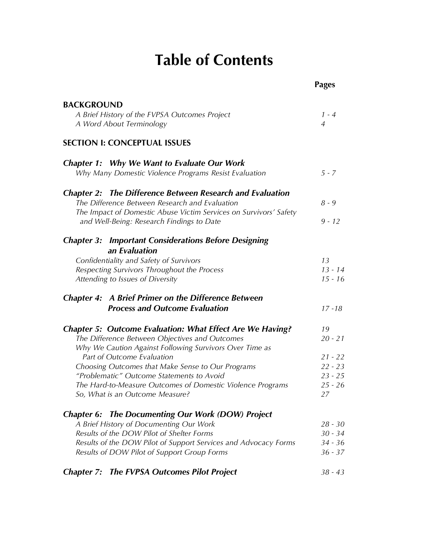## **Table of Contents**

|                                                                                                     | <b>Pages</b>    |
|-----------------------------------------------------------------------------------------------------|-----------------|
| <b>BACKGROUND</b>                                                                                   |                 |
| A Brief History of the FVPSA Outcomes Project                                                       | $1 - 4$         |
| A Word About Terminology                                                                            | 4               |
| <b>SECTION I: CONCEPTUAL ISSUES</b>                                                                 |                 |
| <b>Chapter 1: Why We Want to Evaluate Our Work</b>                                                  |                 |
| Why Many Domestic Violence Programs Resist Evaluation                                               | $5 - 7$         |
| <b>Chapter 2: The Difference Between Research and Evaluation</b>                                    |                 |
| The Difference Between Research and Evaluation                                                      | $8 - 9$         |
| The Impact of Domestic Abuse Victim Services on Survivors' Safety                                   |                 |
| and Well-Being: Research Findings to Date                                                           | $9 - 12$        |
| <b>Chapter 3: Important Considerations Before Designing</b>                                         |                 |
| an Evaluation                                                                                       |                 |
| Confidentiality and Safety of Survivors<br>Respecting Survivors Throughout the Process              | 13<br>$13 - 14$ |
| Attending to Issues of Diversity                                                                    | $15 - 16$       |
|                                                                                                     |                 |
| <b>Chapter 4: A Brief Primer on the Difference Between</b><br><b>Process and Outcome Evaluation</b> | $17 - 18$       |
|                                                                                                     |                 |
| <b>Chapter 5: Outcome Evaluation: What Effect Are We Having?</b>                                    | 19              |
| The Difference Between Objectives and Outcomes                                                      | $20 - 21$       |
| Why We Caution Against Following Survivors Over Time as                                             |                 |
| Part of Outcome Evaluation                                                                          | $21 - 22$       |
| Choosing Outcomes that Make Sense to Our Programs                                                   | $22 - 23$       |
| "Problematic" Outcome Statements to Avoid                                                           | $23 - 25$       |
| The Hard-to-Measure Outcomes of Domestic Violence Programs                                          | $25 - 26$       |
| So, What is an Outcome Measure?                                                                     | 27              |
| <b>Chapter 6: The Documenting Our Work (DOW) Project</b>                                            |                 |
| A Brief History of Documenting Our Work                                                             | $28 - 30$       |
| Results of the DOW Pilot of Shelter Forms                                                           | $30 - 34$       |
| Results of the DOW Pilot of Support Services and Advocacy Forms                                     | $34 - 36$       |
| Results of DOW Pilot of Support Group Forms                                                         | $36 - 37$       |
|                                                                                                     |                 |
| <b>Chapter 7: The FVPSA Outcomes Pilot Project</b>                                                  | $38 - 43$       |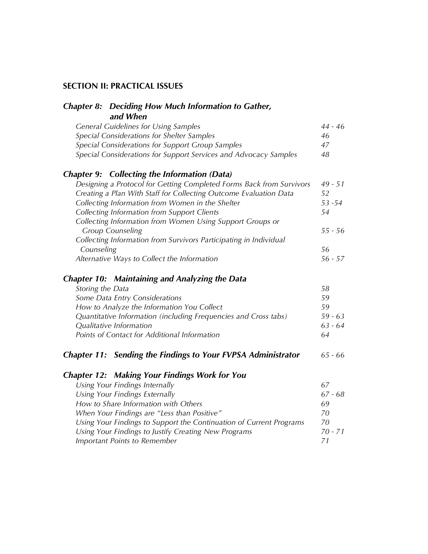#### **SECTION II: PRACTICAL ISSUES**

| <b>Chapter 8: Deciding How Much Information to Gather,</b>           |           |
|----------------------------------------------------------------------|-----------|
| and When                                                             |           |
| <b>General Guidelines for Using Samples</b>                          | 44 - 46   |
| Special Considerations for Shelter Samples                           | 46        |
| Special Considerations for Support Group Samples                     | 47        |
| Special Considerations for Support Services and Advocacy Samples     | 48        |
| <b>Chapter 9: Collecting the Information (Data)</b>                  |           |
| Designing a Protocol for Getting Completed Forms Back from Survivors | $49 - 51$ |
| Creating a Plan With Staff for Collecting Outcome Evaluation Data    | 52        |
| Collecting Information from Women in the Shelter                     | 53 - 54   |
| Collecting Information from Support Clients                          | 54        |
| Collecting Information from Women Using Support Groups or            |           |
| <b>Group Counseling</b>                                              | $55 - 56$ |
| Collecting Information from Survivors Participating in Individual    |           |
| Counseling                                                           | 56        |
| Alternative Ways to Collect the Information                          | $56 - 57$ |
| <b>Chapter 10: Maintaining and Analyzing the Data</b>                |           |
| Storing the Data                                                     | 58        |
| Some Data Entry Considerations                                       | 59        |
| How to Analyze the Information You Collect                           | 59        |
| Quantitative Information (including Frequencies and Cross tabs)      | $59 - 63$ |
| Qualitative Information                                              | $63 - 64$ |
| Points of Contact for Additional Information                         | 64        |
| <b>Chapter 11: Sending the Findings to Your FVPSA Administrator</b>  | $65 - 66$ |
| <b>Chapter 12: Making Your Findings Work for You</b>                 |           |
| Using Your Findings Internally                                       | 67        |
| <b>Using Your Findings Externally</b>                                | $67 - 68$ |
| How to Share Information with Others                                 | 69        |
| When Your Findings are "Less than Positive"                          | 70        |
| Using Your Findings to Support the Continuation of Current Programs  | 70        |
| Using Your Findings to Justify Creating New Programs                 | $70 - 71$ |
| Important Points to Remember                                         | 71        |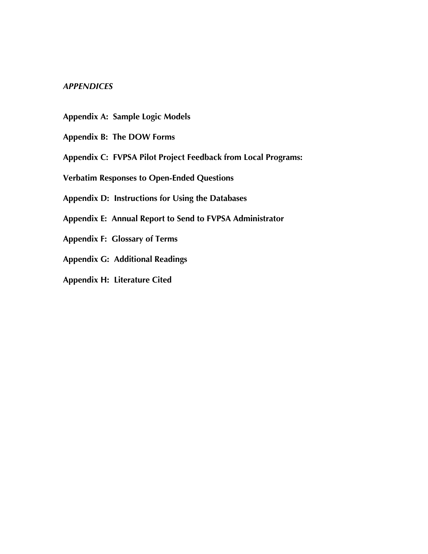#### *APPENDICES*

- **Appendix A: Sample Logic Models**
- **Appendix B: The DOW Forms**
- **Appendix C: FVPSA Pilot Project Feedback from Local Programs:**
- **Verbatim Responses to Open-Ended Questions**
- **Appendix D: Instructions for Using the Databases**
- **Appendix E: Annual Report to Send to FVPSA Administrator**
- **Appendix F: Glossary of Terms**
- **Appendix G: Additional Readings**
- **Appendix H: Literature Cited**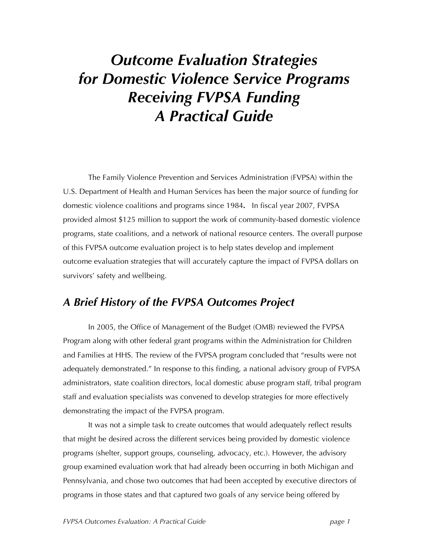## *Outcome Evaluation Strategies for Domestic Violence Service Programs Receiving FVPSA Funding A Practical Guide*

The Family Violence Prevention and Services Administration (FVPSA) within the U.S. Department of Health and Human Services has been the major source of funding for domestic violence coalitions and programs since 1984**.** In fiscal year 2007, FVPSA provided almost \$125 million to support the work of community-based domestic violence programs, state coalitions, and a network of national resource centers. The overall purpose of this FVPSA outcome evaluation project is to help states develop and implement outcome evaluation strategies that will accurately capture the impact of FVPSA dollars on survivors' safety and wellbeing.

### *A Brief History of the FVPSA Outcomes Project*

In 2005, the Office of Management of the Budget (OMB) reviewed the FVPSA Program along with other federal grant programs within the Administration for Children and Families at HHS. The review of the FVPSA program concluded that "results were not adequately demonstrated." In response to this finding, a national advisory group of FVPSA administrators, state coalition directors, local domestic abuse program staff, tribal program staff and evaluation specialists was convened to develop strategies for more effectively demonstrating the impact of the FVPSA program.

It was not a simple task to create outcomes that would adequately reflect results that might be desired across the different services being provided by domestic violence programs (shelter, support groups, counseling, advocacy, etc.). However, the advisory group examined evaluation work that had already been occurring in both Michigan and Pennsylvania, and chose two outcomes that had been accepted by executive directors of programs in those states and that captured two goals of any service being offered by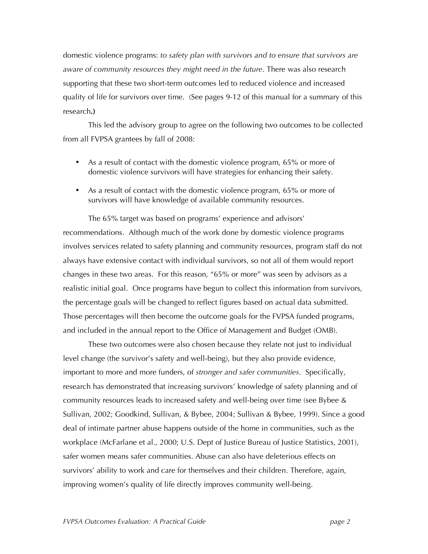domestic violence programs: *to safety plan with survivors and to ensure that survivors are aware of community resources they might need in the future*. There was also research supporting that these two short-term outcomes led to reduced violence and increased quality of life for survivors over time. (See pages 9-12 of this manual for a summary of this research**.)** 

This led the advisory group to agree on the following two outcomes to be collected from all FVPSA grantees by fall of 2008:

- As a result of contact with the domestic violence program, 65% or more of domestic violence survivors will have strategies for enhancing their safety.
- As a result of contact with the domestic violence program, 65% or more of survivors will have knowledge of available community resources.

The 65% target was based on programs' experience and advisors' recommendations. Although much of the work done by domestic violence programs involves services related to safety planning and community resources, program staff do not always have extensive contact with individual survivors, so not all of them would report changes in these two areas. For this reason, "65% or more" was seen by advisors as a realistic initial goal. Once programs have begun to collect this information from survivors, the percentage goals will be changed to reflect figures based on actual data submitted. Those percentages will then become the outcome goals for the FVPSA funded programs, and included in the annual report to the Office of Management and Budget (OMB).

These two outcomes were also chosen because they relate not just to individual level change (the survivor's safety and well-being), but they also provide evidence, important to more and more funders, of *stronger and safer communities*. Specifically, research has demonstrated that increasing survivors' knowledge of safety planning and of community resources leads to increased safety and well-being over time (see Bybee & Sullivan, 2002; Goodkind, Sullivan, & Bybee, 2004; Sullivan & Bybee, 1999). Since a good deal of intimate partner abuse happens outside of the home in communities, such as the workplace (McFarlane et al., 2000; U.S. Dept of Justice Bureau of Justice Statistics, 2001), safer women means safer communities. Abuse can also have deleterious effects on survivors' ability to work and care for themselves and their children. Therefore, again, improving women's quality of life directly improves community well-being.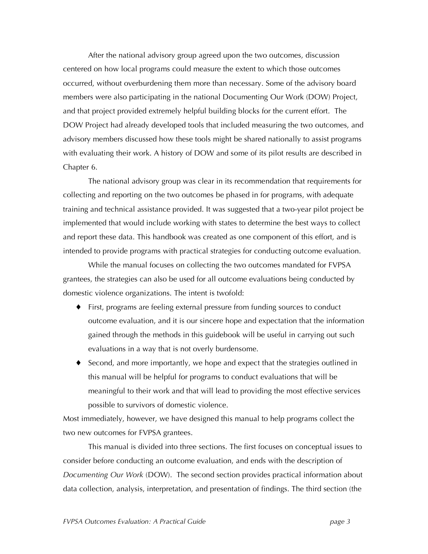After the national advisory group agreed upon the two outcomes, discussion centered on how local programs could measure the extent to which those outcomes occurred, without overburdening them more than necessary. Some of the advisory board members were also participating in the national Documenting Our Work (DOW) Project, and that project provided extremely helpful building blocks for the current effort. The DOW Project had already developed tools that included measuring the two outcomes, and advisory members discussed how these tools might be shared nationally to assist programs with evaluating their work. A history of DOW and some of its pilot results are described in Chapter 6.

The national advisory group was clear in its recommendation that requirements for collecting and reporting on the two outcomes be phased in for programs, with adequate training and technical assistance provided. It was suggested that a two-year pilot project be implemented that would include working with states to determine the best ways to collect and report these data. This handbook was created as one component of this effort, and is intended to provide programs with practical strategies for conducting outcome evaluation.

While the manual focuses on collecting the two outcomes mandated for FVPSA grantees, the strategies can also be used for all outcome evaluations being conducted by domestic violence organizations. The intent is twofold:

- ♦ First, programs are feeling external pressure from funding sources to conduct outcome evaluation, and it is our sincere hope and expectation that the information gained through the methods in this guidebook will be useful in carrying out such evaluations in a way that is not overly burdensome.
- ♦ Second, and more importantly, we hope and expect that the strategies outlined in this manual will be helpful for programs to conduct evaluations that will be meaningful to their work and that will lead to providing the most effective services possible to survivors of domestic violence.

Most immediately, however, we have designed this manual to help programs collect the two new outcomes for FVPSA grantees.

This manual is divided into three sections. The first focuses on conceptual issues to consider before conducting an outcome evaluation, and ends with the description of *Documenting Our Work* (DOW). The second section provides practical information about data collection, analysis, interpretation, and presentation of findings. The third section (the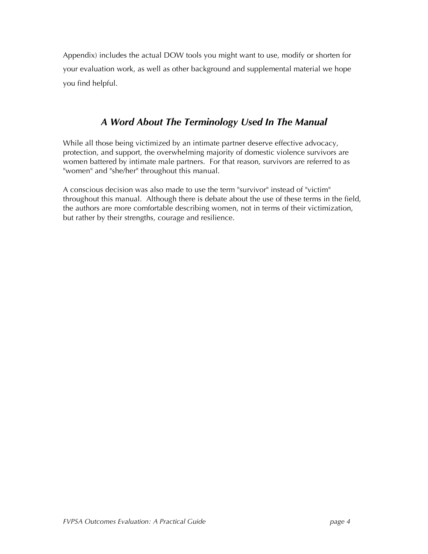Appendix) includes the actual DOW tools you might want to use, modify or shorten for your evaluation work, as well as other background and supplemental material we hope you find helpful.

### *A Word About The Terminology Used In The Manual*

While all those being victimized by an intimate partner deserve effective advocacy, protection, and support, the overwhelming majority of domestic violence survivors are women battered by intimate male partners. For that reason, survivors are referred to as "women" and "she/her" throughout this manual.

A conscious decision was also made to use the term "survivor" instead of "victim" throughout this manual. Although there is debate about the use of these terms in the field, the authors are more comfortable describing women, not in terms of their victimization, but rather by their strengths, courage and resilience.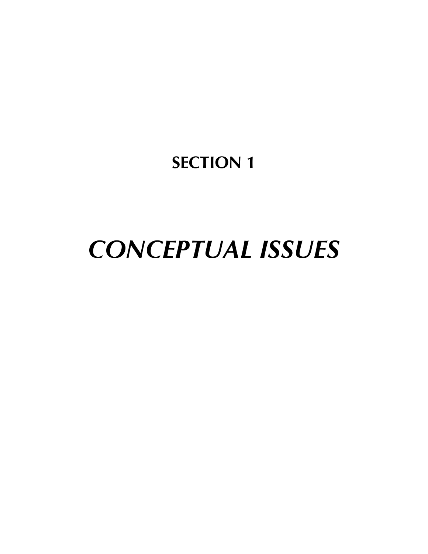## **SECTION 1**

# *CONCEPTUAL ISSUES*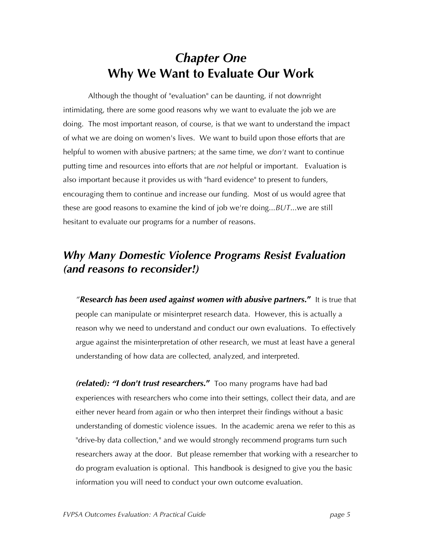### *Chapter One* **Why We Want to Evaluate Our Work**

Although the thought of "evaluation" can be daunting, if not downright intimidating, there are some good reasons why we want to evaluate the job we are doing. The most important reason, of course, is that we want to understand the impact of what we are doing on women's lives. We want to build upon those efforts that are helpful to women with abusive partners; at the same time, we *don't* want to continue putting time and resources into efforts that are *not* helpful or important. Evaluation is also important because it provides us with "hard evidence" to present to funders, encouraging them to continue and increase our funding. Most of us would agree that these are good reasons to examine the kind of job we're doing...*BUT*...we are still hesitant to evaluate our programs for a number of reasons.

### *Why Many Domestic Violence Programs Resist Evaluation (and reasons to reconsider!)*

*"Research has been used against women with abusive partners***."** It is true that people can manipulate or misinterpret research data. However, this is actually a reason why we need to understand and conduct our own evaluations. To effectively argue against the misinterpretation of other research, we must at least have a general understanding of how data are collected, analyzed, and interpreted.

*(related): "I don't trust researchers***."** Too many programs have had bad experiences with researchers who come into their settings, collect their data, and are either never heard from again or who then interpret their findings without a basic understanding of domestic violence issues. In the academic arena we refer to this as "drive-by data collection," and we would strongly recommend programs turn such researchers away at the door. But please remember that working with a researcher to do program evaluation is optional. This handbook is designed to give you the basic information you will need to conduct your own outcome evaluation.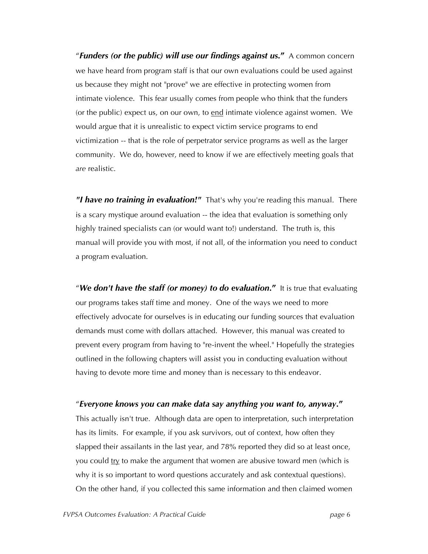"*Funders (or the public) will use our findings against us***."** A common concern we have heard from program staff is that our own evaluations could be used against us because they might not "prove" we are effective in protecting women from intimate violence. This fear usually comes from people who think that the funders (or the public) expect us, on our own, to end intimate violence against women. We would argue that it is unrealistic to expect victim service programs to end victimization -- that is the role of perpetrator service programs as well as the larger community. We do, however, need to know if we are effectively meeting goals that *are* realistic.

*"I have no training in evaluation!"* That's why you're reading this manual. There is a scary mystique around evaluation -- the idea that evaluation is something only highly trained specialists can (or would want to!) understand. The truth is, this manual will provide you with most, if not all, of the information you need to conduct a program evaluation.

"*We don't have the staff (or money) to do evaluation***."** It is true that evaluating our programs takes staff time and money. One of the ways we need to more effectively advocate for ourselves is in educating our funding sources that evaluation demands must come with dollars attached. However, this manual was created to prevent every program from having to "re-invent the wheel." Hopefully the strategies outlined in the following chapters will assist you in conducting evaluation without having to devote more time and money than is necessary to this endeavor.

#### "*Everyone knows you can make data say anything you want to, anyway***."**

This actually isn't true. Although data are open to interpretation, such interpretation has its limits. For example, if you ask survivors, out of context, how often they slapped their assailants in the last year, and 78% reported they did so at least once, you could  $try$  to make the argument that women are abusive toward men (which is why it is so important to word questions accurately and ask contextual questions). On the other hand, if you collected this same information and then claimed women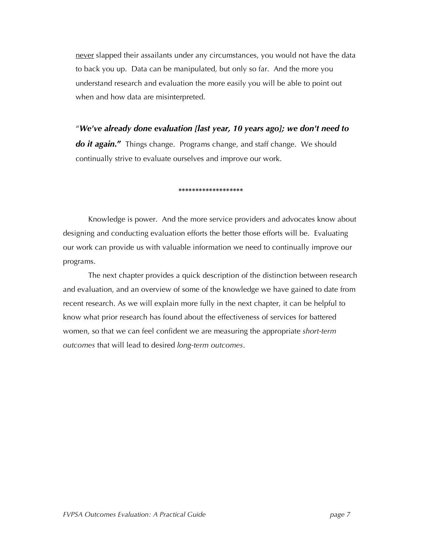never slapped their assailants under any circumstances, you would not have the data to back you up. Data can be manipulated, but only so far. And the more you understand research and evaluation the more easily you will be able to point out when and how data are misinterpreted.

"*We've already done evaluation [last year, 10 years ago]; we don't need to do it again***."** Things change. Programs change, and staff change. We should continually strive to evaluate ourselves and improve our work.

#### **\*\*\*\*\*\*\*\*\*\*\*\*\*\*\*\*\*\*\***

Knowledge is power. And the more service providers and advocates know about designing and conducting evaluation efforts the better those efforts will be. Evaluating our work can provide us with valuable information we need to continually improve our programs.

The next chapter provides a quick description of the distinction between research and evaluation, and an overview of some of the knowledge we have gained to date from recent research. As we will explain more fully in the next chapter, it can be helpful to know what prior research has found about the effectiveness of services for battered women, so that we can feel confident we are measuring the appropriate *short-term outcomes* that will lead to desired *long-term outcomes*.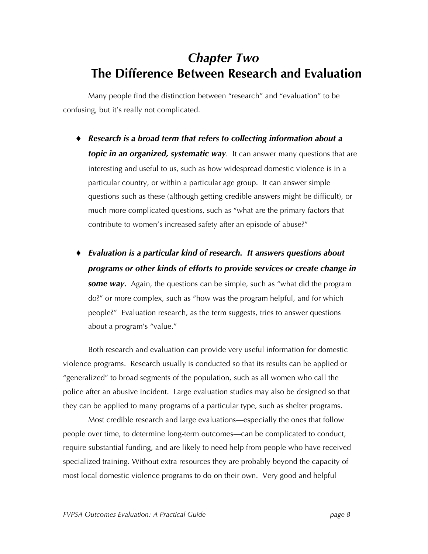### *Chapter Two* **The Difference Between Research and Evaluation**

Many people find the distinction between "research" and "evaluation" to be confusing, but it's really not complicated.

- ♦ *Research is a broad term that refers to collecting information about a topic in an organized, systematic way.* It can answer many questions that are interesting and useful to us, such as how widespread domestic violence is in a particular country, or within a particular age group. It can answer simple questions such as these (although getting credible answers might be difficult), or much more complicated questions, such as "what are the primary factors that contribute to women's increased safety after an episode of abuse?"
- ♦ *Evaluation is a particular kind of research. It answers questions about programs or other kinds of efforts to provide services or create change in some way.* Again, the questions can be simple, such as "what did the program do?" or more complex, such as "how was the program helpful, and for which people?" Evaluation research, as the term suggests, tries to answer questions about a program's "value."

Both research and evaluation can provide very useful information for domestic violence programs. Research usually is conducted so that its results can be applied or "generalized" to broad segments of the population, such as all women who call the police after an abusive incident. Large evaluation studies may also be designed so that they can be applied to many programs of a particular type, such as shelter programs.

Most credible research and large evaluations—especially the ones that follow people over time, to determine long-term outcomes—can be complicated to conduct, require substantial funding, and are likely to need help from people who have received specialized training. Without extra resources they are probably beyond the capacity of most local domestic violence programs to do on their own. Very good and helpful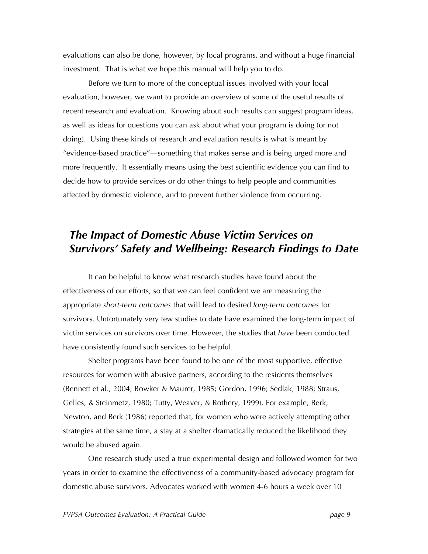evaluations can also be done, however, by local programs, and without a huge financial investment. That is what we hope this manual will help you to do.

Before we turn to more of the conceptual issues involved with your local evaluation, however, we want to provide an overview of some of the useful results of recent research and evaluation. Knowing about such results can suggest program ideas, as well as ideas for questions you can ask about what your program is doing (or not doing). Using these kinds of research and evaluation results is what is meant by "evidence-based practice"—something that makes sense and is being urged more and more frequently. It essentially means using the best scientific evidence you can find to decide how to provide services or do other things to help people and communities affected by domestic violence, and to prevent further violence from occurring.

### *The Impact of Domestic Abuse Victim Services on Survivors' Safety and Wellbeing: Research Findings to Date*

It can be helpful to know what research studies have found about the effectiveness of our efforts, so that we can feel confident we are measuring the appropriate *short-term outcomes* that will lead to desired *long-term outcomes* for survivors. Unfortunately very few studies to date have examined the long-term impact of victim services on survivors over time. However, the studies that *have* been conducted have consistently found such services to be helpful.

Shelter programs have been found to be one of the most supportive, effective resources for women with abusive partners, according to the residents themselves (Bennett et al., 2004; Bowker & Maurer, 1985; Gordon, 1996; Sedlak, 1988; Straus, Gelles, & Steinmetz, 1980; Tutty, Weaver, & Rothery, 1999). For example, Berk, Newton, and Berk (1986) reported that, for women who were actively attempting other strategies at the same time, a stay at a shelter dramatically reduced the likelihood they would be abused again.

One research study used a true experimental design and followed women for two years in order to examine the effectiveness of a community-based advocacy program for domestic abuse survivors. Advocates worked with women 4-6 hours a week over 10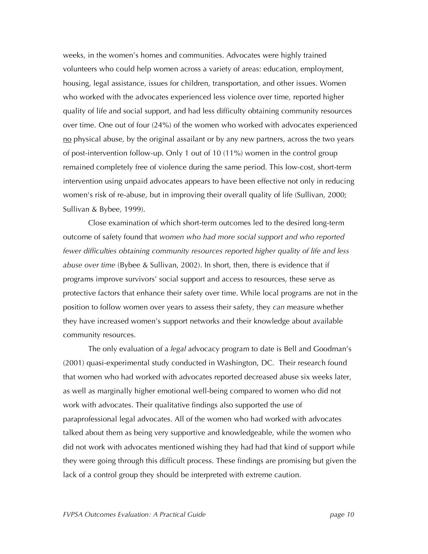weeks, in the women's homes and communities. Advocates were highly trained volunteers who could help women across a variety of areas: education, employment, housing, legal assistance, issues for children, transportation, and other issues. Women who worked with the advocates experienced less violence over time, reported higher quality of life and social support, and had less difficulty obtaining community resources over time. One out of four (24%) of the women who worked with advocates experienced no physical abuse, by the original assailant or by any new partners, across the two years of post-intervention follow-up. Only 1 out of 10 (11%) women in the control group remained completely free of violence during the same period. This low-cost, short-term intervention using unpaid advocates appears to have been effective not only in reducing women's risk of re-abuse, but in improving their overall quality of life (Sullivan, 2000; Sullivan & Bybee, 1999).

Close examination of which short-term outcomes led to the desired long-term outcome of safety found that *women who had more social support and who reported fewer difficulties obtaining community resources reported higher quality of life and less abuse over time* (Bybee & Sullivan, 2002). In short, then, there is evidence that if programs improve survivors' social support and access to resources, these serve as protective factors that enhance their safety over time. While local programs are not in the position to follow women over years to assess their safety, they *can* measure whether they have increased women's support networks and their knowledge about available community resources.

The only evaluation of a *legal* advocacy program to date is Bell and Goodman's (2001) quasi-experimental study conducted in Washington, DC. Their research found that women who had worked with advocates reported decreased abuse six weeks later, as well as marginally higher emotional well-being compared to women who did not work with advocates. Their qualitative findings also supported the use of paraprofessional legal advocates. All of the women who had worked with advocates talked about them as being very supportive and knowledgeable, while the women who did not work with advocates mentioned wishing they had had that kind of support while they were going through this difficult process. These findings are promising but given the lack of a control group they should be interpreted with extreme caution.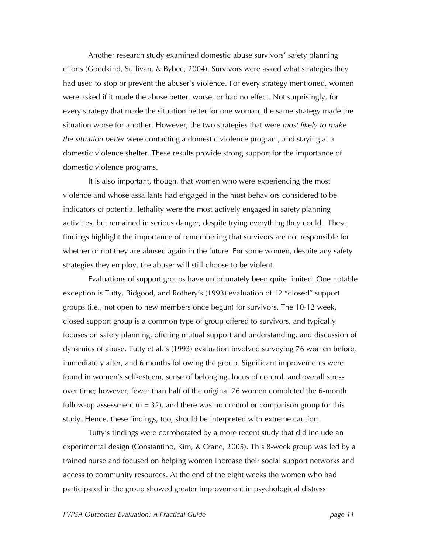Another research study examined domestic abuse survivors' safety planning efforts (Goodkind, Sullivan, & Bybee, 2004). Survivors were asked what strategies they had used to stop or prevent the abuser's violence. For every strategy mentioned, women were asked if it made the abuse better, worse, or had no effect. Not surprisingly, for every strategy that made the situation better for one woman, the same strategy made the situation worse for another. However, the two strategies that were *most likely to make the situation better* were contacting a domestic violence program, and staying at a domestic violence shelter. These results provide strong support for the importance of domestic violence programs.

It is also important, though, that women who were experiencing the most violence and whose assailants had engaged in the most behaviors considered to be indicators of potential lethality were the most actively engaged in safety planning activities, but remained in serious danger, despite trying everything they could. These findings highlight the importance of remembering that survivors are not responsible for whether or not they are abused again in the future. For some women, despite any safety strategies they employ, the abuser will still choose to be violent.

Evaluations of support groups have unfortunately been quite limited. One notable exception is Tutty, Bidgood, and Rothery's (1993) evaluation of 12 "closed" support groups (i.e., not open to new members once begun) for survivors. The 10-12 week, closed support group is a common type of group offered to survivors, and typically focuses on safety planning, offering mutual support and understanding, and discussion of dynamics of abuse. Tutty et al.'s (1993) evaluation involved surveying 76 women before, immediately after, and 6 months following the group. Significant improvements were found in women's self-esteem, sense of belonging, locus of control, and overall stress over time; however, fewer than half of the original 76 women completed the 6-month follow-up assessment ( $n = 32$ ), and there was no control or comparison group for this study. Hence, these findings, too, should be interpreted with extreme caution.

Tutty's findings were corroborated by a more recent study that did include an experimental design (Constantino, Kim, & Crane, 2005). This 8-week group was led by a trained nurse and focused on helping women increase their social support networks and access to community resources. At the end of the eight weeks the women who had participated in the group showed greater improvement in psychological distress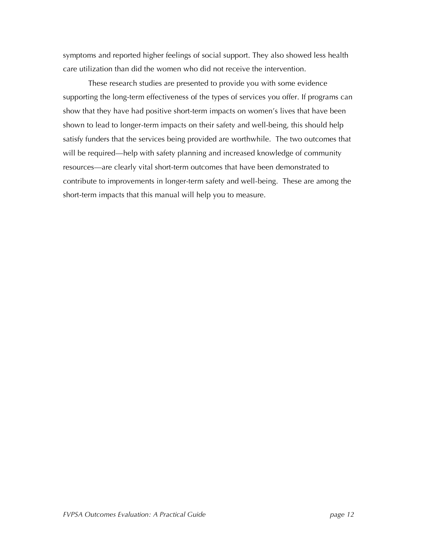symptoms and reported higher feelings of social support. They also showed less health care utilization than did the women who did not receive the intervention.

These research studies are presented to provide you with some evidence supporting the long-term effectiveness of the types of services you offer. If programs can show that they have had positive short-term impacts on women's lives that have been shown to lead to longer-term impacts on their safety and well-being, this should help satisfy funders that the services being provided are worthwhile. The two outcomes that will be required—help with safety planning and increased knowledge of community resources—are clearly vital short-term outcomes that have been demonstrated to contribute to improvements in longer-term safety and well-being. These are among the short-term impacts that this manual will help you to measure.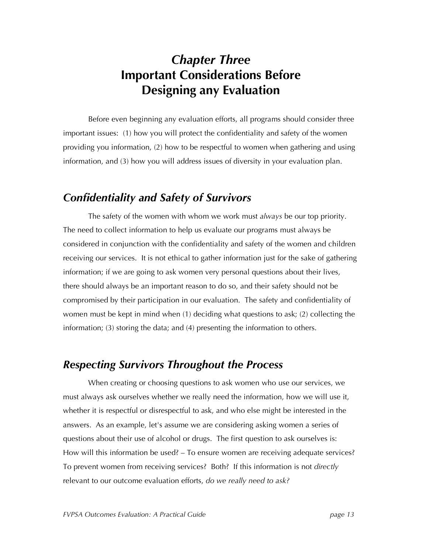### *Chapter Three* **Important Considerations Before Designing any Evaluation**

Before even beginning any evaluation efforts, all programs should consider three important issues: (1) how you will protect the confidentiality and safety of the women providing you information, (2) how to be respectful to women when gathering and using information, and (3) how you will address issues of diversity in your evaluation plan.

### *Confidentiality and Safety of Survivors*

The safety of the women with whom we work must *always* be our top priority. The need to collect information to help us evaluate our programs must always be considered in conjunction with the confidentiality and safety of the women and children receiving our services. It is not ethical to gather information just for the sake of gathering information; if we are going to ask women very personal questions about their lives, there should always be an important reason to do so, and their safety should not be compromised by their participation in our evaluation. The safety and confidentiality of women must be kept in mind when (1) deciding what questions to ask; (2) collecting the information; (3) storing the data; and (4) presenting the information to others.

### *Respecting Survivors Throughout the Process*

When creating or choosing questions to ask women who use our services, we must always ask ourselves whether we really need the information, how we will use it, whether it is respectful or disrespectful to ask, and who else might be interested in the answers. As an example, let's assume we are considering asking women a series of questions about their use of alcohol or drugs. The first question to ask ourselves is: How will this information be used? – To ensure women are receiving adequate services? To prevent women from receiving services? Both? If this information is not *directly* relevant to our outcome evaluation efforts, *do we really need to ask?*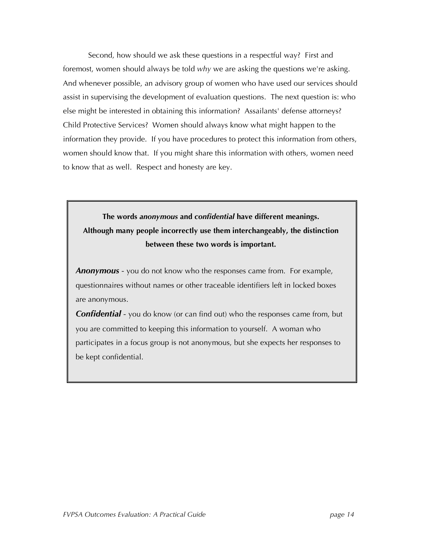Second, how should we ask these questions in a respectful way? First and foremost, women should always be told *why* we are asking the questions we're asking. And whenever possible, an advisory group of women who have used our services should assist in supervising the development of evaluation questions. The next question is: who else might be interested in obtaining this information? Assailants' defense attorneys? Child Protective Services? Women should always know what might happen to the information they provide. If you have procedures to protect this information from others, women should know that. If you might share this information with others, women need to know that as well. Respect and honesty are key.

**The words** *anonymous* **and** *confidential* **have different meanings. Although many people incorrectly use them interchangeably, the distinction between these two words is important.**

*Anonymous* - you do not know who the responses came from. For example, questionnaires without names or other traceable identifiers left in locked boxes are anonymous.

*Confidential* - you do know (or can find out) who the responses came from, but you are committed to keeping this information to yourself. A woman who participates in a focus group is not anonymous, but she expects her responses to be kept confidential.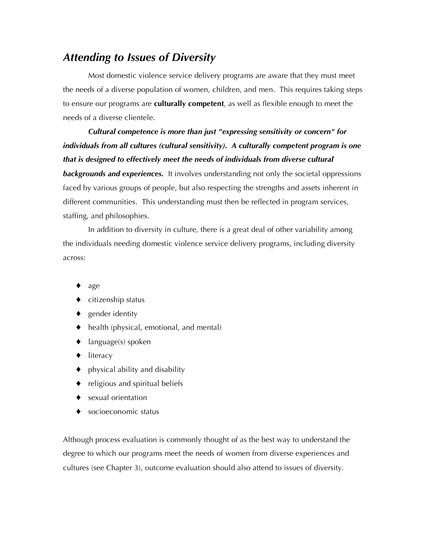### *Attending to Issues of Diversity*

Most domestic violence service delivery programs are aware that they must meet the needs of a diverse population of women, children, and men. This requires taking steps to ensure our programs are **culturally competent**, as well as flexible enough to meet the needs of a diverse clientele.

*Cultural competence is more than just "expressing sensitivity or concern" for individuals from all cultures (cultural sensitivity). A culturally competent program is one that is designed to effectively meet the needs of individuals from diverse cultural backgrounds and experiences.* It involves understanding not only the societal oppressions faced by various groups of people, but also respecting the strengths and assets inherent in different communities. This understanding must then be reflected in program services, staffing, and philosophies.

In addition to diversity in culture, there is a great deal of other variability among the individuals needing domestic violence service delivery programs, including diversity across:

- age
- ♦ citizenship status
- ♦ gender identity
- ♦ health (physical, emotional, and mental)
- $\blacklozenge$  language(s) spoken
- ♦ literacy
- $\bullet$  physical ability and disability
- ♦ religious and spiritual beliefs
- ♦ sexual orientation
- socioeconomic status

Although process evaluation is commonly thought of as the best way to understand the degree to which our programs meet the needs of women from diverse experiences and cultures (see Chapter 3), outcome evaluation should also attend to issues of diversity.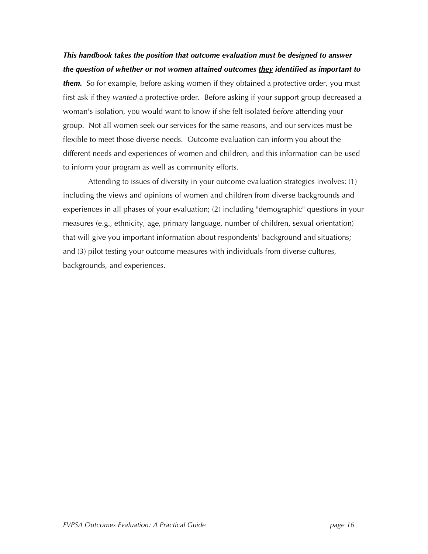*This handbook takes the position that outcome evaluation must be designed to answer the question of whether or not women attained outcomes they identified as important to them.* So for example, before asking women if they obtained a protective order, you must first ask if they *wanted* a protective order. Before asking if your support group decreased a woman's isolation, you would want to know if she felt isolated *before* attending your group. Not all women seek our services for the same reasons, and our services must be flexible to meet those diverse needs. Outcome evaluation can inform you about the different needs and experiences of women and children, and this information can be used to inform your program as well as community efforts.

Attending to issues of diversity in your outcome evaluation strategies involves: (1) including the views and opinions of women and children from diverse backgrounds and experiences in all phases of your evaluation; (2) including "demographic" questions in your measures (e.g., ethnicity, age, primary language, number of children, sexual orientation) that will give you important information about respondents' background and situations; and (3) pilot testing your outcome measures with individuals from diverse cultures, backgrounds, and experiences.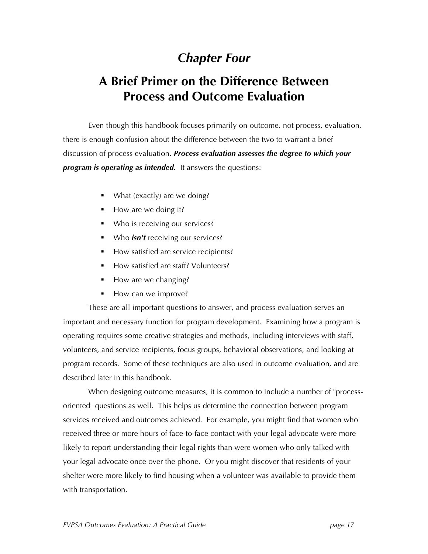### *Chapter Four*

### **A Brief Primer on the Difference Between Process and Outcome Evaluation**

Even though this handbook focuses primarily on outcome, not process, evaluation, there is enough confusion about the difference between the two to warrant a brief discussion of process evaluation. *Process evaluation assesses the degree to which your program is operating as intended.* It answers the questions:

- What (exactly) are we doing?
- How are we doing it?
- Who is receiving our services?
- Who *isn't* receiving our services?
- How satisfied are service recipients?
- How satisfied are staff? Volunteers?
- How are we changing?
- How can we improve?

These are all important questions to answer, and process evaluation serves an important and necessary function for program development. Examining how a program is operating requires some creative strategies and methods, including interviews with staff, volunteers, and service recipients, focus groups, behavioral observations, and looking at program records. Some of these techniques are also used in outcome evaluation, and are described later in this handbook.

When designing outcome measures, it is common to include a number of "processoriented" questions as well. This helps us determine the connection between program services received and outcomes achieved. For example, you might find that women who received three or more hours of face-to-face contact with your legal advocate were more likely to report understanding their legal rights than were women who only talked with your legal advocate once over the phone. Or you might discover that residents of your shelter were more likely to find housing when a volunteer was available to provide them with transportation.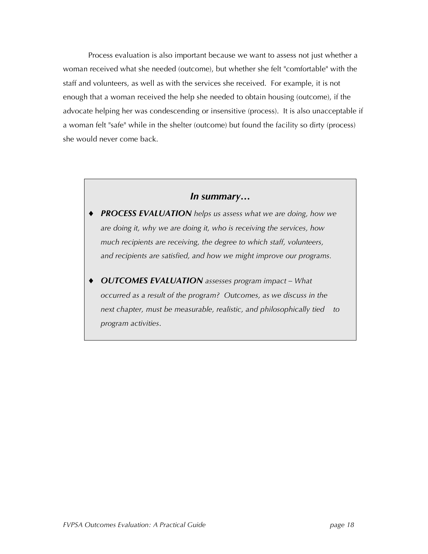Process evaluation is also important because we want to assess not just whether a woman received what she needed (outcome), but whether she felt "comfortable" with the staff and volunteers, as well as with the services she received. For example, it is not enough that a woman received the help she needed to obtain housing (outcome), if the advocate helping her was condescending or insensitive (process). It is also unacceptable if a woman felt "safe" while in the shelter (outcome) but found the facility so dirty (process) she would never come back.

#### *In summary…*

- ♦ *PROCESS EVALUATION helps us assess what we are doing, how we are doing it, why we are doing it, who is receiving the services, how much recipients are receiving, the degree to which staff, volunteers, and recipients are satisfied, and how we might improve our programs.*
- ♦ *OUTCOMES EVALUATION assesses program impact – What occurred as a result of the program? Outcomes, as we discuss in the next chapter, must be measurable, realistic, and philosophically tied to program activities*.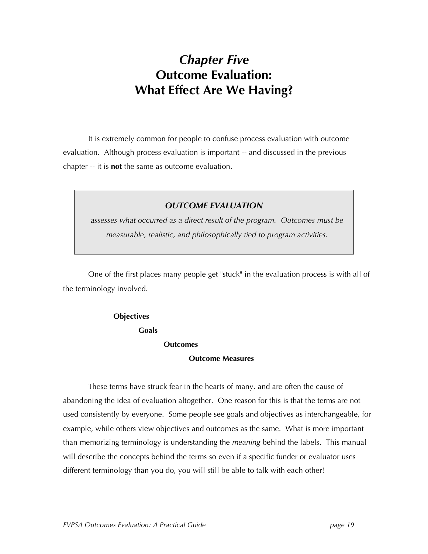### *Chapter Five* **Outcome Evaluation: What Effect Are We Having?**

It is extremely common for people to confuse process evaluation with outcome evaluation. Although process evaluation is important -- and discussed in the previous chapter -- it is **not** the same as outcome evaluation.

#### *OUTCOME EVALUATION*

*assesses what occurred as a direct result of the program. Outcomes must be measurable, realistic, and philosophically tied to program activities.*

One of the first places many people get "stuck" in the evaluation process is with all of the terminology involved.

#### **Objectives**

**Goals**

#### **Outcomes**

#### **Outcome Measures**

These terms have struck fear in the hearts of many, and are often the cause of abandoning the idea of evaluation altogether. One reason for this is that the terms are not used consistently by everyone. Some people see goals and objectives as interchangeable, for example, while others view objectives and outcomes as the same. What is more important than memorizing terminology is understanding the *meaning* behind the labels. This manual will describe the concepts behind the terms so even if a specific funder or evaluator uses different terminology than you do, you will still be able to talk with each other!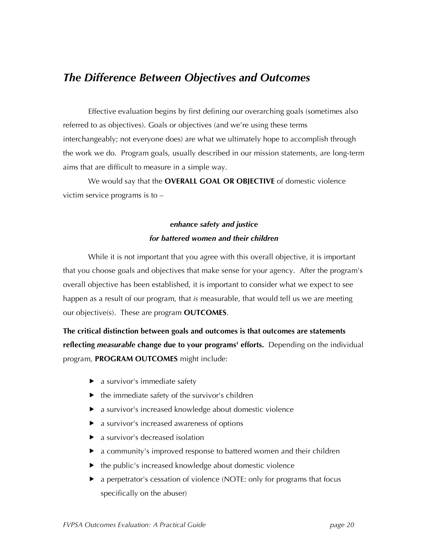### *The Difference Between Objectives and Outcomes*

Effective evaluation begins by first defining our overarching goals (sometimes also referred to as objectives). Goals or objectives (and we're using these terms interchangeably; not everyone does) are what we ultimately hope to accomplish through the work we do. Program goals, usually described in our mission statements, are long-term aims that are difficult to measure in a simple way.

We would say that the **OVERALL GOAL OR OBJECTIVE** of domestic violence victim service programs is to –

#### *enhance safety and justice for battered women and their children*

While it is not important that you agree with this overall objective, it is important that you choose goals and objectives that make sense for your agency. After the program's overall objective has been established, it is important to consider what we expect to see happen as a result of our program, that *is* measurable, that would tell us we are meeting our objective(s). These are program **OUTCOMES**.

**The critical distinction between goals and outcomes is that outcomes are statements reflecting** *measurable* **change due to your programs' efforts.** Depending on the individual program, **PROGRAM OUTCOMES** might include:

- $\blacktriangleright$  a survivor's immediate safety
- $\blacktriangleright$  the immediate safety of the survivor's children
- a survivor's increased knowledge about domestic violence
- ▶ a survivor's increased awareness of options
- ▶ a survivor's decreased isolation
- a community's improved response to battered women and their children
- $\blacktriangleright$  the public's increased knowledge about domestic violence
- ▶ a perpetrator's cessation of violence (NOTE: only for programs that focus specifically on the abuser)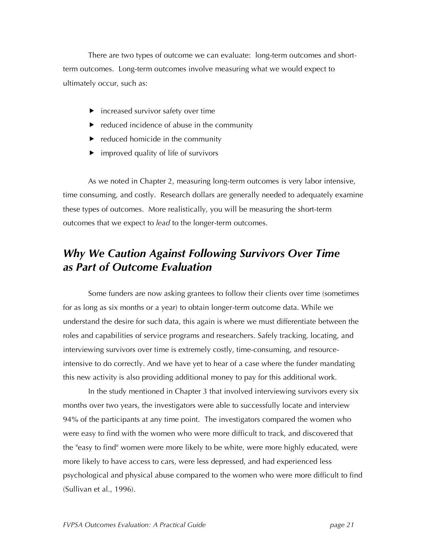There are two types of outcome we can evaluate: long-term outcomes and shortterm outcomes. Long-term outcomes involve measuring what we would expect to ultimately occur, such as:

- $\blacktriangleright$  increased survivor safety over time
- $\blacktriangleright$  reduced incidence of abuse in the community
- $\blacktriangleright$  reduced homicide in the community
- $\blacktriangleright$  improved quality of life of survivors

As we noted in Chapter 2, measuring long-term outcomes is very labor intensive, time consuming, and costly. Research dollars are generally needed to adequately examine these types of outcomes. More realistically, you will be measuring the short-term outcomes that we expect to *lead* to the longer-term outcomes.

### *Why We Caution Against Following Survivors Over Time as Part of Outcome Evaluation*

Some funders are now asking grantees to follow their clients over time (sometimes for as long as six months or a year) to obtain longer-term outcome data. While we understand the desire for such data, this again is where we must differentiate between the roles and capabilities of service programs and researchers. Safely tracking, locating, and interviewing survivors over time is extremely costly, time-consuming, and resourceintensive to do correctly. And we have yet to hear of a case where the funder mandating this new activity is also providing additional money to pay for this additional work.

In the study mentioned in Chapter 3 that involved interviewing survivors every six months over two years, the investigators were able to successfully locate and interview 94% of the participants at any time point. The investigators compared the women who were easy to find with the women who were more difficult to track, and discovered that the "easy to find" women were more likely to be white, were more highly educated, were more likely to have access to cars, were less depressed, and had experienced less psychological and physical abuse compared to the women who were more difficult to find (Sullivan et al., 1996).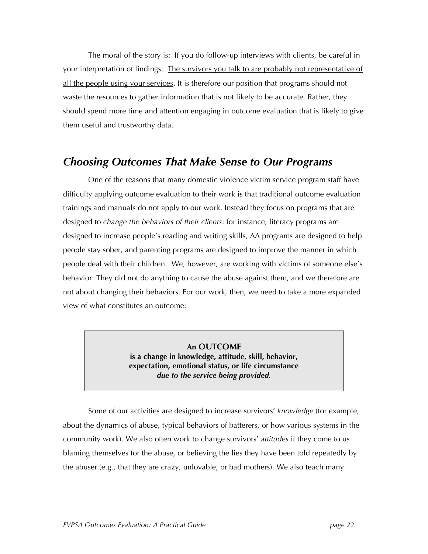The moral of the story is: If you do follow-up interviews with clients, be careful in your interpretation of findings. The survivors you talk to are probably not representative of all the people using your services. It is therefore our position that programs should not waste the resources to gather information that is not likely to be accurate. Rather, they should spend more time and attention engaging in outcome evaluation that is likely to give them useful and trustworthy data.

### *Choosing Outcomes That Make Sense to Our Programs*

One of the reasons that many domestic violence victim service program staff have difficulty applying outcome evaluation to their work is that traditional outcome evaluation trainings and manuals do not apply to our work. Instead they focus on programs that are designed to *change the behaviors of their clients*: for instance, literacy programs are designed to increase people's reading and writing skills, AA programs are designed to help people stay sober, and parenting programs are designed to improve the manner in which people deal with their children. We, however, are working with victims of someone else's behavior. They did not do anything to cause the abuse against them, and we therefore are not about changing their behaviors. For our work, then, we need to take a more expanded view of what constitutes an outcome:

> **An OUTCOME is a change in knowledge, attitude, skill, behavior, expectation, emotional status, or life circumstance** *due to the service being provided.*

Some of our activities are designed to increase survivors' *knowledge* (for example, about the dynamics of abuse, typical behaviors of batterers, or how various systems in the community work). We also often work to change survivors' *attitudes* if they come to us blaming themselves for the abuse, or believing the lies they have been told repeatedly by the abuser (e.g., that they are crazy, unlovable, or bad mothers). We also teach many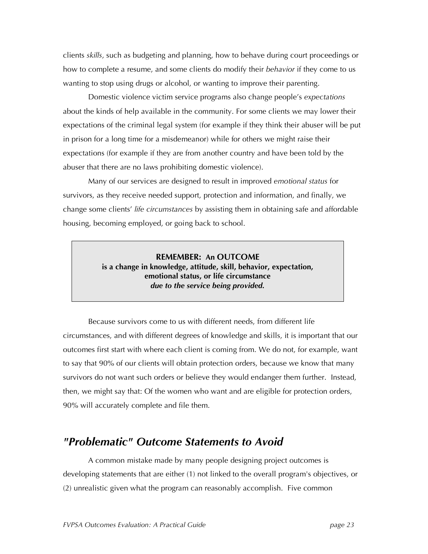clients *skills*, such as budgeting and planning, how to behave during court proceedings or how to complete a resume, and some clients do modify their *behavior* if they come to us wanting to stop using drugs or alcohol, or wanting to improve their parenting.

Domestic violence victim service programs also change people's *expectations* about the kinds of help available in the community. For some clients we may lower their expectations of the criminal legal system (for example if they think their abuser will be put in prison for a long time for a misdemeanor) while for others we might raise their expectations (for example if they are from another country and have been told by the abuser that there are no laws prohibiting domestic violence).

Many of our services are designed to result in improved *emotional status* for survivors, as they receive needed support, protection and information, and finally, we change some clients' *life circumstances* by assisting them in obtaining safe and affordable housing, becoming employed, or going back to school.

> **REMEMBER: An OUTCOME is a change in knowledge, attitude, skill, behavior, expectation, emotional status, or life circumstance** *due to the service being provided.*

Because survivors come to us with different needs, from different life circumstances, and with different degrees of knowledge and skills, it is important that our outcomes first start with where each client is coming from. We do not, for example, want to say that 90% of our clients will obtain protection orders, because we know that many survivors do not want such orders or believe they would endanger them further. Instead, then, we might say that: Of the women who want and are eligible for protection orders, 90% will accurately complete and file them.

### *"Problematic" Outcome Statements to Avoid*

A common mistake made by many people designing project outcomes is developing statements that are either (1) not linked to the overall program's objectives, or (2) unrealistic given what the program can reasonably accomplish. Five common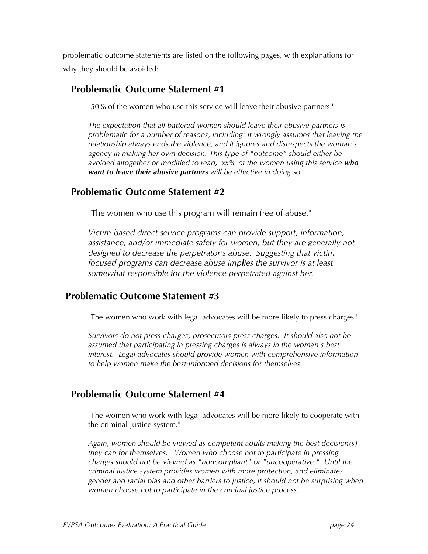problematic outcome statements are listed on the following pages, with explanations for why they should be avoided:

#### **Problematic Outcome Statement #1**

"50% of the women who use this service will leave their abusive partners."

*The expectation that all battered women should leave their abusive partners is problematic for a number of reasons, including: it wrongly assumes that leaving the relationship always ends the violence, and it ignores and disrespects the woman's agency in making her own decision. This type of "outcome" should either be avoided altogether or modified to read, 'xx% of the women using this service who want to leave their abusive partners will be effective in doing so.'*

#### **Problematic Outcome Statement #2**

"The women who use this program will remain free of abuse."

*Victim-based direct service programs can provide support, information, assistance, and/or immediate safety for women, but they are generally not designed to decrease the perpetrator's abuse. Suggesting that victim focused programs can decrease abuse implies the survivor is at least somewhat responsible for the violence perpetrated against her.*

#### **Problematic Outcome Statement #3**

"The women who work with legal advocates will be more likely to press charges."

*Survivors do not press charges; prosecutors press charges. It should also not be assumed that participating in pressing charges is always in the woman's best interest. Legal advocates should provide women with comprehensive information to help women make the best-informed decisions for themselves.*

#### **Problematic Outcome Statement #4**

"The women who work with legal advocates will be more likely to cooperate with the criminal justice system."

*Again, women should be viewed as competent adults making the best decision(s) they can for themselves. Women who choose not to participate in pressing charges should not be viewed as "noncompliant" or "uncooperative." Until the criminal justice system provides women with more protection, and eliminates gender and racial bias and other barriers to justice, it should not be surprising when women choose not to participate in the criminal justice process.*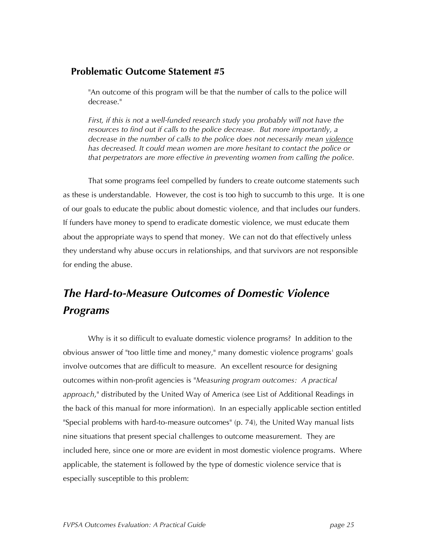#### **Problematic Outcome Statement #5**

"An outcome of this program will be that the number of calls to the police will decrease."

*First, if this is not a well-funded research study you probably will not have the resources to find out if calls to the police decrease. But more importantly, a decrease in the number of calls to the police does not necessarily mean violence has decreased. It could mean women are more hesitant to contact the police or that perpetrators are more effective in preventing women from calling the police.*

That some programs feel compelled by funders to create outcome statements such as these is understandable. However, the cost is too high to succumb to this urge. It is one of our goals to educate the public about domestic violence, and that includes our funders. If funders have money to spend to eradicate domestic violence, we must educate them about the appropriate ways to spend that money. We can not do that effectively unless they understand why abuse occurs in relationships, and that survivors are not responsible for ending the abuse.

### *The Hard-to-Measure Outcomes of Domestic Violence Programs*

Why is it so difficult to evaluate domestic violence programs? In addition to the obvious answer of "too little time and money," many domestic violence programs' goals involve outcomes that are difficult to measure. An excellent resource for designing outcomes within non-profit agencies is "*Measuring program outcomes: A practical approach*," distributed by the United Way of America (see List of Additional Readings in the back of this manual for more information). In an especially applicable section entitled "Special problems with hard-to-measure outcomes" (p. 74), the United Way manual lists nine situations that present special challenges to outcome measurement. They are included here, since one or more are evident in most domestic violence programs. Where applicable, the statement is followed by the type of domestic violence service that is especially susceptible to this problem: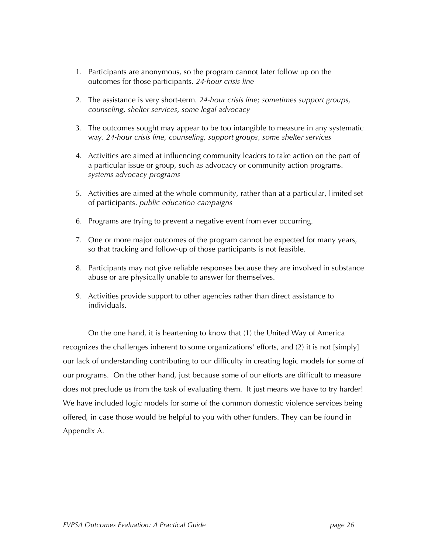- 1. Participants are anonymous, so the program cannot later follow up on the outcomes for those participants. *24-hour crisis line*
- 2. The assistance is very short-term. *24-hour crisis line*; *sometimes support groups, counseling, shelter services, some legal advocacy*
- 3. The outcomes sought may appear to be too intangible to measure in any systematic way. *24-hour crisis line, counseling, support groups, some shelter services*
- 4. Activities are aimed at influencing community leaders to take action on the part of a particular issue or group, such as advocacy or community action programs. *systems advocacy programs*
- 5. Activities are aimed at the whole community, rather than at a particular, limited set of participants. *public education campaigns*
- 6. Programs are trying to prevent a negative event from ever occurring.
- 7. One or more major outcomes of the program cannot be expected for many years, so that tracking and follow-up of those participants is not feasible.
- 8. Participants may not give reliable responses because they are involved in substance abuse or are physically unable to answer for themselves.
- 9. Activities provide support to other agencies rather than direct assistance to individuals.

On the one hand, it is heartening to know that (1) the United Way of America recognizes the challenges inherent to some organizations' efforts, and (2) it is not [simply] our lack of understanding contributing to our difficulty in creating logic models for some of our programs. On the other hand, just because some of our efforts are difficult to measure does not preclude us from the task of evaluating them. It just means we have to try harder! We have included logic models for some of the common domestic violence services being offered, in case those would be helpful to you with other funders. They can be found in Appendix A.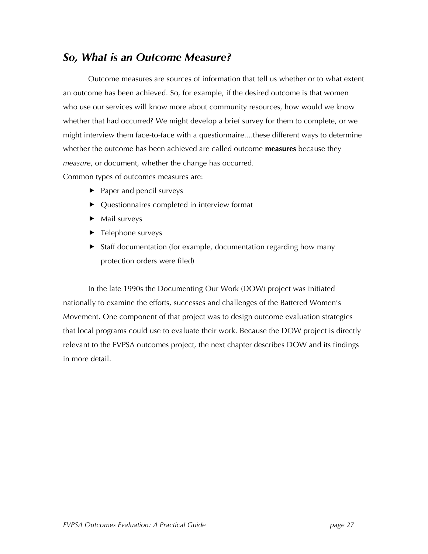### *So, What is an Outcome Measure?*

Outcome measures are sources of information that tell us whether or to what extent an outcome has been achieved. So, for example, if the desired outcome is that women who use our services will know more about community resources, how would we know whether that had occurred? We might develop a brief survey for them to complete, or we might interview them face-to-face with a questionnaire....these different ways to determine whether the outcome has been achieved are called outcome **measures** because they *measure*, or document, whether the change has occurred.

Common types of outcomes measures are:

- ▶ Paper and pencil surveys
- ▶ Ouestionnaires completed in interview format
- $\blacktriangleright$  Mail surveys
- ▶ Telephone surveys
- ▶ Staff documentation (for example, documentation regarding how many protection orders were filed)

In the late 1990s the Documenting Our Work (DOW) project was initiated nationally to examine the efforts, successes and challenges of the Battered Women's Movement. One component of that project was to design outcome evaluation strategies that local programs could use to evaluate their work. Because the DOW project is directly relevant to the FVPSA outcomes project, the next chapter describes DOW and its findings in more detail.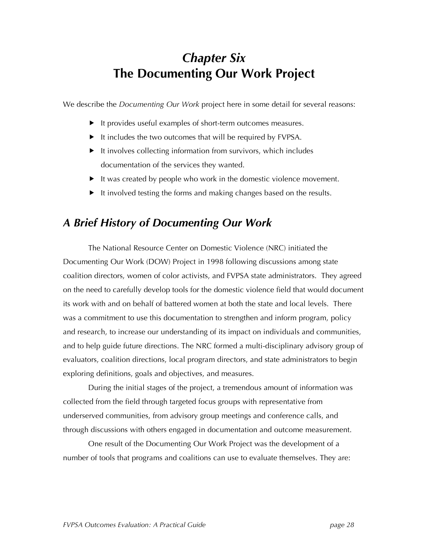### *Chapter Six* **The Documenting Our Work Project**

We describe the *Documenting Our Work* project here in some detail for several reasons:

- It provides useful examples of short-term outcomes measures.
- $\blacktriangleright$  It includes the two outcomes that will be required by FVPSA.
- ▶ It involves collecting information from survivors, which includes documentation of the services they wanted.
- $\blacktriangleright$  It was created by people who work in the domestic violence movement.
- $\blacktriangleright$  It involved testing the forms and making changes based on the results.

### *A Brief History of Documenting Our Work*

The National Resource Center on Domestic Violence (NRC) initiated the Documenting Our Work (DOW) Project in 1998 following discussions among state coalition directors, women of color activists, and FVPSA state administrators. They agreed on the need to carefully develop tools for the domestic violence field that would document its work with and on behalf of battered women at both the state and local levels. There was a commitment to use this documentation to strengthen and inform program, policy and research, to increase our understanding of its impact on individuals and communities, and to help guide future directions. The NRC formed a multi-disciplinary advisory group of evaluators, coalition directions, local program directors, and state administrators to begin exploring definitions, goals and objectives, and measures.

During the initial stages of the project, a tremendous amount of information was collected from the field through targeted focus groups with representative from underserved communities, from advisory group meetings and conference calls, and through discussions with others engaged in documentation and outcome measurement.

One result of the Documenting Our Work Project was the development of a number of tools that programs and coalitions can use to evaluate themselves. They are: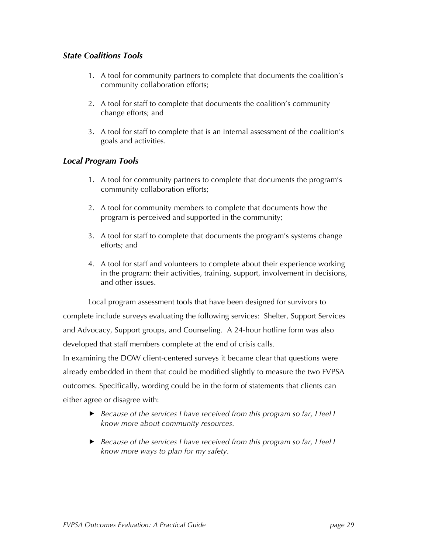#### *State Coalitions Tools*

- 1. A tool for community partners to complete that documents the coalition's community collaboration efforts;
- 2. A tool for staff to complete that documents the coalition's community change efforts; and
- 3. A tool for staff to complete that is an internal assessment of the coalition's goals and activities.

#### *Local Program Tools*

- 1. A tool for community partners to complete that documents the program's community collaboration efforts;
- 2. A tool for community members to complete that documents how the program is perceived and supported in the community;
- 3. A tool for staff to complete that documents the program's systems change efforts; and
- 4. A tool for staff and volunteers to complete about their experience working in the program: their activities, training, support, involvement in decisions, and other issues.

Local program assessment tools that have been designed for survivors to complete include surveys evaluating the following services: Shelter, Support Services and Advocacy, Support groups, and Counseling. A 24-hour hotline form was also developed that staff members complete at the end of crisis calls. In examining the DOW client-centered surveys it became clear that questions were already embedded in them that could be modified slightly to measure the two FVPSA outcomes. Specifically, wording could be in the form of statements that clients can either agree or disagree with:

- *Because of the services I have received from this program so far, I feel I know more about community resources.*
- *Because of the services I have received from this program so far, I feel I know more ways to plan for my safety.*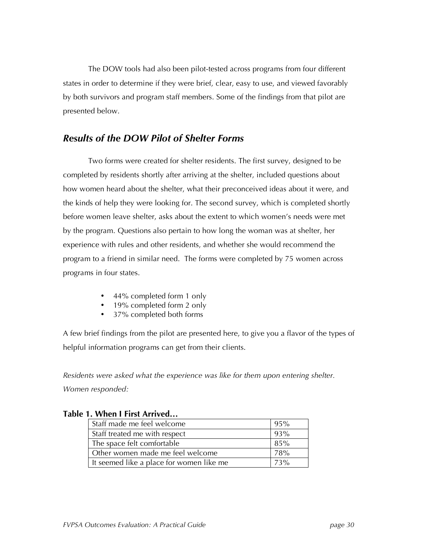The DOW tools had also been pilot-tested across programs from four different states in order to determine if they were brief, clear, easy to use, and viewed favorably by both survivors and program staff members. Some of the findings from that pilot are presented below.

#### *Results of the DOW Pilot of Shelter Forms*

Two forms were created for shelter residents. The first survey, designed to be completed by residents shortly after arriving at the shelter, included questions about how women heard about the shelter, what their preconceived ideas about it were, and the kinds of help they were looking for. The second survey, which is completed shortly before women leave shelter, asks about the extent to which women's needs were met by the program. Questions also pertain to how long the woman was at shelter, her experience with rules and other residents, and whether she would recommend the program to a friend in similar need. The forms were completed by 75 women across programs in four states.

- 44% completed form 1 only
- 19% completed form 2 only
- 37% completed both forms

A few brief findings from the pilot are presented here, to give you a flavor of the types of helpful information programs can get from their clients.

*Residents were asked what the experience was like for them upon entering shelter. Women responded:*

| Staff made me feel welcome               | 95%    |
|------------------------------------------|--------|
| Staff treated me with respect            | 93%    |
| The space felt comfortable               | $85\%$ |
| Other women made me feel welcome         | 78%    |
| It seemed like a place for women like me | 73%    |

#### **Table 1. When I First Arrived…**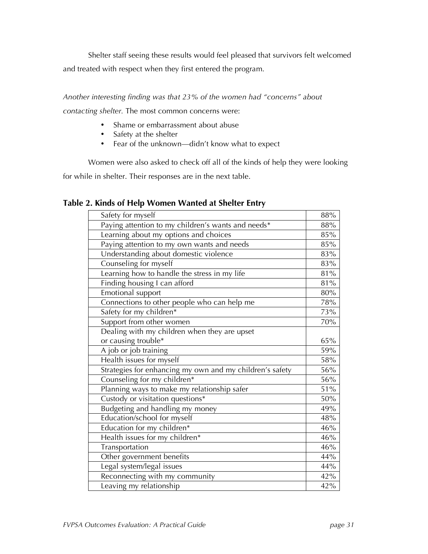Shelter staff seeing these results would feel pleased that survivors felt welcomed and treated with respect when they first entered the program.

*Another interesting finding was that 23% of the women had "concerns" about*

*contacting shelter.* The most common concerns were:

- Shame or embarrassment about abuse
- Safety at the shelter
- Fear of the unknown—didn't know what to expect

Women were also asked to check off all of the kinds of help they were looking

for while in shelter. Their responses are in the next table.

| Table 2. Kinds of Help Women Wanted at Shelter Entry |  |  |
|------------------------------------------------------|--|--|
|------------------------------------------------------|--|--|

| Safety for myself                                        | 88%    |
|----------------------------------------------------------|--------|
| Paying attention to my children's wants and needs*       | 88%    |
| Learning about my options and choices                    | 85%    |
| Paying attention to my own wants and needs               | 85%    |
| Understanding about domestic violence                    | 83%    |
| Counseling for myself                                    | 83%    |
| Learning how to handle the stress in my life             | $81\%$ |
| Finding housing I can afford                             | 81%    |
| <b>Emotional support</b>                                 | 80%    |
| Connections to other people who can help me              | 78%    |
| Safety for my children*                                  | 73%    |
| Support from other women                                 | 70%    |
| Dealing with my children when they are upset             |        |
| or causing trouble*                                      | 65%    |
| A job or job training                                    | 59%    |
| Health issues for myself                                 | $58\%$ |
| Strategies for enhancing my own and my children's safety | $56\%$ |
| Counseling for my children*                              | $56\%$ |
| Planning ways to make my relationship safer              | $51\%$ |
| Custody or visitation questions*                         | 50%    |
| Budgeting and handling my money                          | 49%    |
| Education/school for myself                              | 48%    |
| Education for my children*                               | 46%    |
| Health issues for my children*                           | 46%    |
| Transportation                                           | 46%    |
| Other government benefits                                | 44%    |
| Legal system/legal issues                                | 44%    |
| Reconnecting with my community                           | 42%    |
| Leaving my relationship                                  | 42%    |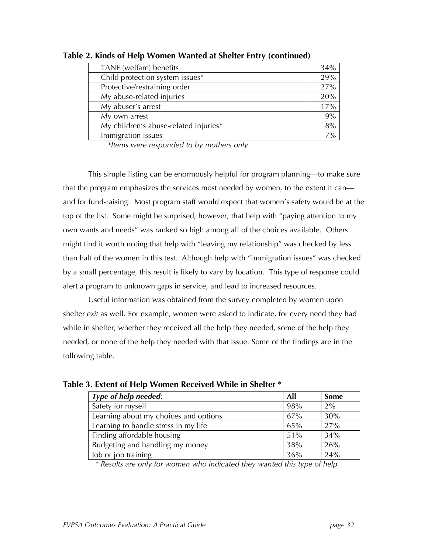| TANF (welfare) benefits               | 34%   |
|---------------------------------------|-------|
| Child protection system issues*       | 29%   |
| Protective/restraining order          | 27%   |
| My abuse-related injuries             | 20%   |
| My abuser's arrest                    | 17%   |
| My own arrest                         | 9%    |
| My children's abuse-related injuries* | 8%    |
| Immigration issues                    | $7\%$ |

**Table 2. Kinds of Help Women Wanted at Shelter Entry (continued)**

*\*Items were responded to by mothers only*

This simple listing can be enormously helpful for program planning—to make sure that the program emphasizes the services most needed by women, to the extent it can and for fund-raising. Most program staff would expect that women's safety would be at the top of the list. Some might be surprised, however, that help with "paying attention to my own wants and needs" was ranked so high among all of the choices available. Others might find it worth noting that help with "leaving my relationship" was checked by less than half of the women in this test. Although help with "immigration issues" was checked by a small percentage, this result is likely to vary by location. This type of response could alert a program to unknown gaps in service, and lead to increased resources.

Useful information was obtained from the survey completed by women upon shelter *exit* as well. For example, women were asked to indicate, for every need they had while in shelter, whether they received all the help they needed, some of the help they needed, or none of the help they needed with that issue. Some of the findings are in the following table.

| Type of help needed:                  | All | <b>Some</b> |
|---------------------------------------|-----|-------------|
| Safety for myself                     | 98% | 2%          |
| Learning about my choices and options | 67% | 30%         |
| Learning to handle stress in my life  | 65% | 27%         |
| Finding affordable housing            | 51% | 34%         |
| Budgeting and handling my money       | 38% | 26%         |
| Job or job training                   | 36% | 24%         |

**Table 3. Extent of Help Women Received While in Shelter \***

*\* Results are only for women who indicated they wanted this type of help*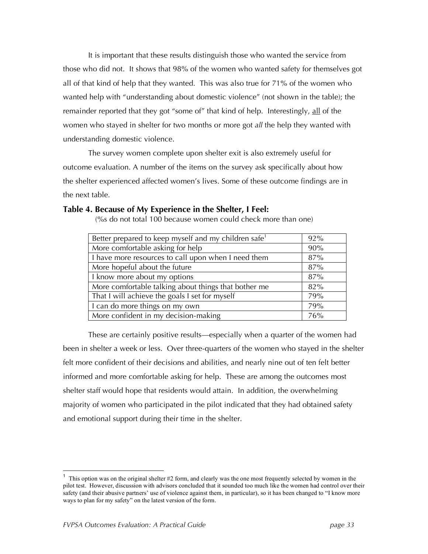It is important that these results distinguish those who wanted the service from those who did not. It shows that 98% of the women who wanted safety for themselves got all of that kind of help that they wanted. This was also true for 71% of the women who wanted help with "understanding about domestic violence" (not shown in the table); the remainder reported that they got "some of" that kind of help. Interestingly, all of the women who stayed in shelter for two months or more got *all* the help they wanted with understanding domestic violence.

The survey women complete upon shelter exit is also extremely useful for outcome evaluation. A number of the items on the survey ask specifically about how the shelter experienced affected women's lives. Some of these outcome findings are in the next table.

#### **Table 4. Because of My Experience in the Shelter, I Feel:**

(%s do not total 100 because women could check more than one)

| Better prepared to keep myself and my children safe <sup>1</sup> | 92% |
|------------------------------------------------------------------|-----|
| More comfortable asking for help                                 | 90% |
| I have more resources to call upon when I need them              | 87% |
| More hopeful about the future                                    | 87% |
| I know more about my options                                     | 87% |
| More comfortable talking about things that bother me             | 82% |
| That I will achieve the goals I set for myself                   | 79% |
| I can do more things on my own                                   | 79% |
| More confident in my decision-making                             | 76% |

These are certainly positive results—especially when a quarter of the women had been in shelter a week or less. Over three-quarters of the women who stayed in the shelter felt more confident of their decisions and abilities, and nearly nine out of ten felt better informed and more comfortable asking for help. These are among the outcomes most shelter staff would hope that residents would attain. In addition, the overwhelming majority of women who participated in the pilot indicated that they had obtained safety and emotional support during their time in the shelter.

<sup>&</sup>lt;sup>1</sup> This option was on the original shelter  $#2$  form, and clearly was the one most frequently selected by women in the pilot test. However, discussion with advisors concluded that it sounded too much like the women had control over their safety (and their abusive partners' use of violence against them, in particular), so it has been changed to "I know more ways to plan for my safety" on the latest version of the form.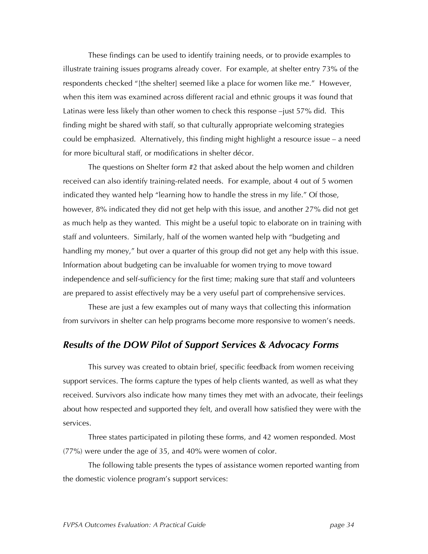These findings can be used to identify training needs, or to provide examples to illustrate training issues programs already cover. For example, at shelter entry 73% of the respondents checked "[the shelter] seemed like a place for women like me." However, when this item was examined across different racial and ethnic groups it was found that Latinas were less likely than other women to check this response -just 57% did. This finding might be shared with staff, so that culturally appropriate welcoming strategies could be emphasized. Alternatively, this finding might highlight a resource issue – a need for more bicultural staff, or modifications in shelter décor.

The questions on Shelter form #2 that asked about the help women and children received can also identify training-related needs. For example, about 4 out of 5 women indicated they wanted help "learning how to handle the stress in my life." Of those, however, 8% indicated they did not get help with this issue, and another 27% did not get as much help as they wanted. This might be a useful topic to elaborate on in training with staff and volunteers. Similarly, half of the women wanted help with "budgeting and handling my money," but over a quarter of this group did not get any help with this issue. Information about budgeting can be invaluable for women trying to move toward independence and self-sufficiency for the first time; making sure that staff and volunteers are prepared to assist effectively may be a very useful part of comprehensive services.

These are just a few examples out of many ways that collecting this information from survivors in shelter can help programs become more responsive to women's needs.

#### *Results of the DOW Pilot of Support Services & Advocacy Forms*

This survey was created to obtain brief, specific feedback from women receiving support services. The forms capture the types of help clients wanted, as well as what they received. Survivors also indicate how many times they met with an advocate, their feelings about how respected and supported they felt, and overall how satisfied they were with the services.

Three states participated in piloting these forms, and 42 women responded. Most (77%) were under the age of 35, and 40% were women of color.

The following table presents the types of assistance women reported wanting from the domestic violence program's support services: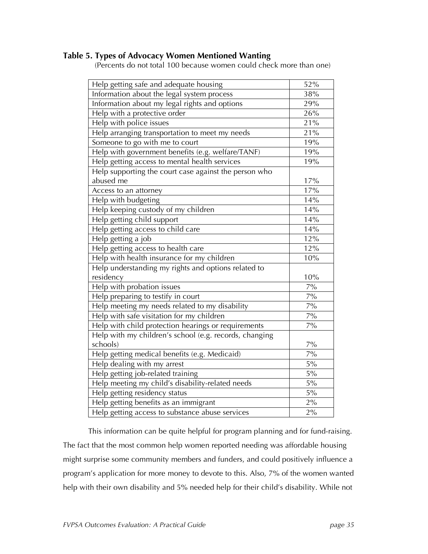#### **Table 5. Types of Advocacy Women Mentioned Wanting**

(Percents do not total 100 because women could check more than one)

| Help getting safe and adequate housing                 | 52%   |
|--------------------------------------------------------|-------|
| Information about the legal system process             | 38%   |
| Information about my legal rights and options          | 29%   |
| Help with a protective order                           | 26%   |
| Help with police issues                                | 21%   |
| Help arranging transportation to meet my needs         | 21%   |
| Someone to go with me to court                         | 19%   |
| Help with government benefits (e.g. welfare/TANF)      | 19%   |
| Help getting access to mental health services          | 19%   |
| Help supporting the court case against the person who  |       |
| abused me                                              | 17%   |
| Access to an attorney                                  | 17%   |
| Help with budgeting                                    | 14%   |
| Help keeping custody of my children                    | 14%   |
| Help getting child support                             | 14%   |
| Help getting access to child care                      | 14%   |
| Help getting a job                                     | 12%   |
| Help getting access to health care                     | 12%   |
| Help with health insurance for my children             | 10%   |
| Help understanding my rights and options related to    |       |
| residency                                              | 10%   |
| Help with probation issues                             | $7\%$ |
| Help preparing to testify in court                     | $7\%$ |
| Help meeting my needs related to my disability         | $7\%$ |
| Help with safe visitation for my children              | $7\%$ |
| Help with child protection hearings or requirements    | $7\%$ |
| Help with my children's school (e.g. records, changing |       |
| schools)                                               | $7\%$ |
| Help getting medical benefits (e.g. Medicaid)          | $7\%$ |
| Help dealing with my arrest                            | $5\%$ |
| Help getting job-related training                      | 5%    |
| Help meeting my child's disability-related needs       | 5%    |
| Help getting residency status                          | $5\%$ |
| Help getting benefits as an immigrant                  | $2\%$ |
| Help getting access to substance abuse services        | $2\%$ |

This information can be quite helpful for program planning and for fund-raising. The fact that the most common help women reported needing was affordable housing might surprise some community members and funders, and could positively influence a program's application for more money to devote to this. Also, 7% of the women wanted help with their own disability and 5% needed help for their child's disability. While not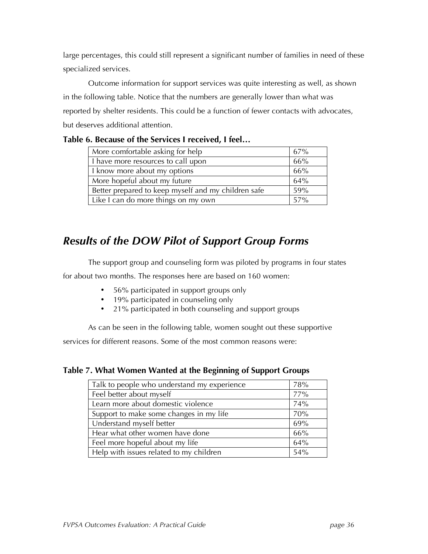large percentages, this could still represent a significant number of families in need of these specialized services.

Outcome information for support services was quite interesting as well, as shown in the following table. Notice that the numbers are generally lower than what was reported by shelter residents. This could be a function of fewer contacts with advocates, but deserves additional attention.

| More comfortable asking for help                    | 67% |
|-----------------------------------------------------|-----|
| I have more resources to call upon                  | 66% |
| I know more about my options                        | 66% |
| More hopeful about my future                        | 64% |
| Better prepared to keep myself and my children safe | 59% |
| Like I can do more things on my own                 | 57% |

#### **Table 6. Because of the Services I received, I feel…**

## *Results of the DOW Pilot of Support Group Forms*

The support group and counseling form was piloted by programs in four states

for about two months. The responses here are based on 160 women:

- 56% participated in support groups only
- 19% participated in counseling only
- 21% participated in both counseling and support groups

As can be seen in the following table, women sought out these supportive

services for different reasons. Some of the most common reasons were:

#### **Table 7. What Women Wanted at the Beginning of Support Groups**

| Talk to people who understand my experience | 78% |
|---------------------------------------------|-----|
| Feel better about myself                    | 77% |
| Learn more about domestic violence          | 74% |
| Support to make some changes in my life     | 70% |
| Understand myself better                    | 69% |
| Hear what other women have done             | 66% |
| Feel more hopeful about my life             | 64% |
| Help with issues related to my children     | 54% |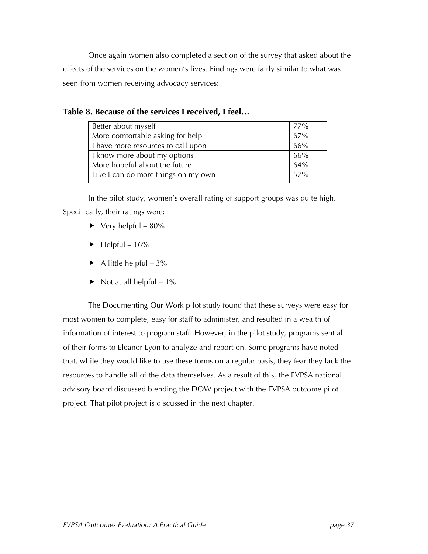Once again women also completed a section of the survey that asked about the effects of the services on the women's lives. Findings were fairly similar to what was seen from women receiving advocacy services:

| Better about myself                 | 77% |
|-------------------------------------|-----|
| More comfortable asking for help    | 67% |
| I have more resources to call upon  | 66% |
| I know more about my options        | 66% |
| More hopeful about the future       | 64% |
| Like I can do more things on my own | 57% |

**Table 8. Because of the services I received, I feel…**

In the pilot study, women's overall rating of support groups was quite high. Specifically, their ratings were:

- $\blacktriangleright$  Very helpful 80%
- $\blacktriangleright$  Helpful 16%
- $\blacktriangleright$  A little helpful 3%
- Not at all helpful  $-1\%$

The Documenting Our Work pilot study found that these surveys were easy for most women to complete, easy for staff to administer, and resulted in a wealth of information of interest to program staff. However, in the pilot study, programs sent all of their forms to Eleanor Lyon to analyze and report on. Some programs have noted that, while they would like to use these forms on a regular basis, they fear they lack the resources to handle all of the data themselves. As a result of this, the FVPSA national advisory board discussed blending the DOW project with the FVPSA outcome pilot project. That pilot project is discussed in the next chapter.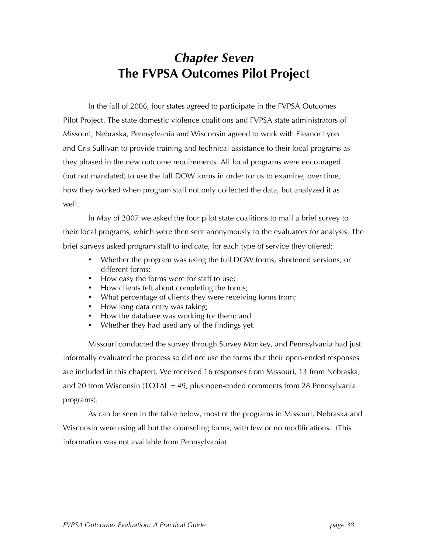## *Chapter Seven* **The FVPSA Outcomes Pilot Project**

In the fall of 2006, four states agreed to participate in the FVPSA Outcomes Pilot Project. The state domestic violence coalitions and FVPSA state administrators of Missouri, Nebraska, Pennsylvania and Wisconsin agreed to work with Eleanor Lyon and Cris Sullivan to provide training and technical assistance to their local programs as they phased in the new outcome requirements. All local programs were encouraged (but not mandated) to use the full DOW forms in order for us to examine, over time, how they worked when program staff not only collected the data, but analyzed it as well.

In May of 2007 we asked the four pilot state coalitions to mail a brief survey to their local programs, which were then sent anonymously to the evaluators for analysis. The brief surveys asked program staff to indicate, for each type of service they offered:

- Whether the program was using the full DOW forms, shortened versions, or different forms;
- How easy the forms were for staff to use;
- How clients felt about completing the forms;
- What percentage of clients they were receiving forms from;
- How long data entry was taking:
- How the database was working for them; and
- Whether they had used any of the findings yet.

Missouri conducted the survey through Survey Monkey, and Pennsylvania had just informally evaluated the process so did not use the forms (but their open-ended responses are included in this chapter). We received 16 responses from Missouri, 13 from Nebraska, and 20 from Wisconsin (TOTAL = 49, plus open-ended comments from 28 Pennsylvania programs).

As can be seen in the table below, most of the programs in Missouri, Nebraska and Wisconsin were using all but the counseling forms, with few or no modifications. (This information was not available from Pennsylvania)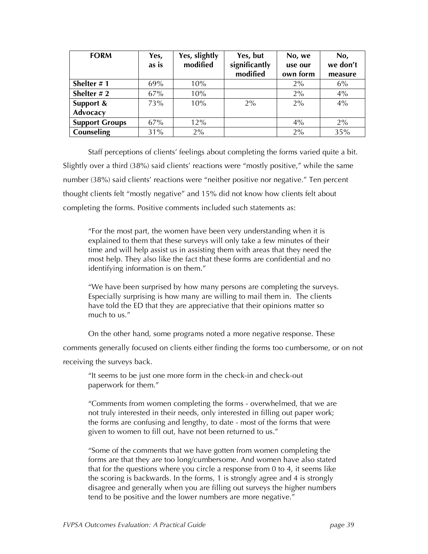| <b>FORM</b>           | Yes,<br>as is | Yes, slightly<br>modified | Yes, but<br>significantly<br>modified | No, we<br>use our<br>own form | No,<br>we don't<br>measure |
|-----------------------|---------------|---------------------------|---------------------------------------|-------------------------------|----------------------------|
| Shelter #1            | 69%           | 10%                       |                                       | 2%                            | 6%                         |
| Shelter $# 2$         | 67%           | 10%                       |                                       | 2%                            | 4%                         |
| Support &             | 73%           | 10%                       | $2\%$                                 | $2\%$                         | 4%                         |
| <b>Advocacy</b>       |               |                           |                                       |                               |                            |
| <b>Support Groups</b> | 67%           | 12%                       |                                       | $4\%$                         | 2%                         |
| Counseling            | 31%           | 2%                        |                                       | 2%                            | 35%                        |

Staff perceptions of clients' feelings about completing the forms varied quite a bit. Slightly over a third (38%) said clients' reactions were "mostly positive," while the same number (38%) said clients' reactions were "neither positive nor negative." Ten percent thought clients felt "mostly negative" and 15% did not know how clients felt about completing the forms. Positive comments included such statements as:

"For the most part, the women have been very understanding when it is explained to them that these surveys will only take a few minutes of their time and will help assist us in assisting them with areas that they need the most help. They also like the fact that these forms are confidential and no identifying information is on them."

"We have been surprised by how many persons are completing the surveys. Especially surprising is how many are willing to mail them in. The clients have told the ED that they are appreciative that their opinions matter so much to us."

On the other hand, some programs noted a more negative response. These

comments generally focused on clients either finding the forms too cumbersome, or on not receiving the surveys back.

"It seems to be just one more form in the check-in and check-out paperwork for them."

"Comments from women completing the forms - overwhelmed, that we are not truly interested in their needs, only interested in filling out paper work; the forms are confusing and lengthy, to date - most of the forms that were given to women to fill out, have not been returned to us."

"Some of the comments that we have gotten from women completing the forms are that they are too long/cumbersome. And women have also stated that for the questions where you circle a response from 0 to 4, it seems like the scoring is backwards. In the forms, 1 is strongly agree and 4 is strongly disagree and generally when you are filling out surveys the higher numbers tend to be positive and the lower numbers are more negative."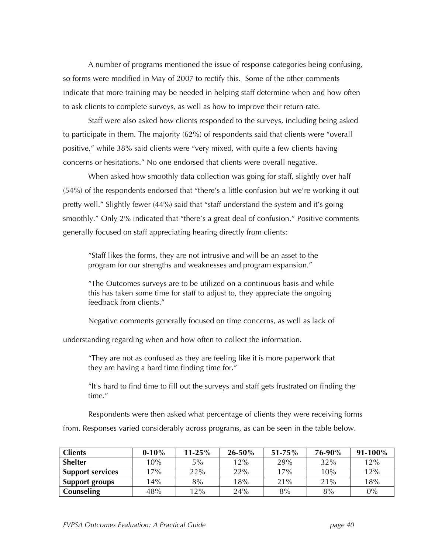A number of programs mentioned the issue of response categories being confusing, so forms were modified in May of 2007 to rectify this. Some of the other comments indicate that more training may be needed in helping staff determine when and how often to ask clients to complete surveys, as well as how to improve their return rate.

Staff were also asked how clients responded to the surveys, including being asked to participate in them. The majority (62%) of respondents said that clients were "overall positive," while 38% said clients were "very mixed, with quite a few clients having concerns or hesitations." No one endorsed that clients were overall negative.

When asked how smoothly data collection was going for staff, slightly over half (54%) of the respondents endorsed that "there's a little confusion but we're working it out pretty well." Slightly fewer (44%) said that "staff understand the system and it's going smoothly." Only 2% indicated that "there's a great deal of confusion." Positive comments generally focused on staff appreciating hearing directly from clients:

"Staff likes the forms, they are not intrusive and will be an asset to the program for our strengths and weaknesses and program expansion."

"The Outcomes surveys are to be utilized on a continuous basis and while this has taken some time for staff to adjust to, they appreciate the ongoing feedback from clients."

Negative comments generally focused on time concerns, as well as lack of

understanding regarding when and how often to collect the information.

"They are not as confused as they are feeling like it is more paperwork that they are having a hard time finding time for."

"It's hard to find time to fill out the surveys and staff gets frustrated on finding the time."

Respondents were then asked what percentage of clients they were receiving forms

from. Responses varied considerably across programs, as can be seen in the table below.

| <b>Clients</b>          | $0-10%$ | $11 - 25\%$ | $26 - 50\%$ | $51 - 75\%$ | 76-90% | $91-100%$ |
|-------------------------|---------|-------------|-------------|-------------|--------|-----------|
| <b>Shelter</b>          | 10%     | 5%          | 12%         | 29%         | 32%    | 12%       |
| <b>Support services</b> | 17%     | 22%         | 22%         | 17%         | 10%    | 12%       |
| <b>Support groups</b>   | 14%     | 8%          | 18%         | 21%         | 21%    | 18%       |
| <b>Counseling</b>       | 48%     | 12%         | 24%         | 8%          | 8%     | 0%        |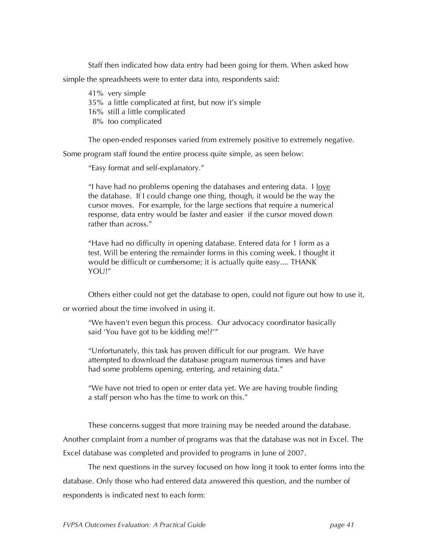Staff then indicated how data entry had been going for them. When asked how simple the spreadsheets were to enter data into, respondents said:

41% very simple 35% a little complicated at first, but now it's simple 16% still a little complicated 8% too complicated

The open-ended responses varied from extremely positive to extremely negative.

Some program staff found the entire process quite simple, as seen below:

"Easy format and self-explanatory."

"I have had no problems opening the databases and entering data. I <u>love</u> the database. If I could change one thing, though, it would be the way the cursor moves. For example, for the large sections that require a numerical response, data entry would be faster and easier if the cursor moved down rather than across."

"Have had no difficulty in opening database. Entered data for 1 form as a test. Will be entering the remainder forms in this coming week. I thought it would be difficult or cumbersome; it is actually quite easy.... THANK YOU!"

Others either could not get the database to open, could not figure out how to use it,

or worried about the time involved in using it.

"We haven't even begun this process. Our advocacy coordinator basically said 'You have got to be kidding me!?'"

"Unfortunately, this task has proven difficult for our program. We have attempted to download the database program numerous times and have had some problems opening, entering, and retaining data."

"We have not tried to open or enter data yet. We are having trouble finding a staff person who has the time to work on this."

These concerns suggest that more training may be needed around the database. Another complaint from a number of programs was that the database was not in Excel. The Excel database was completed and provided to programs in June of 2007.

The next questions in the survey focused on how long it took to enter forms into the database. Only those who had entered data answered this question, and the number of respondents is indicated next to each form: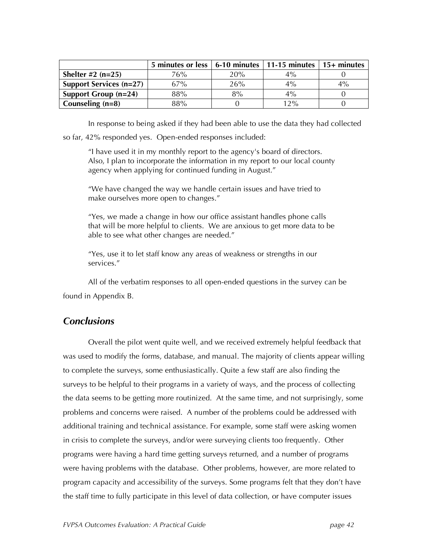|                                | 5 minutes or less $\vert$ 6-10 minutes $\vert$ 11-15 minutes |     |       | $\vert$ 15+ minutes |
|--------------------------------|--------------------------------------------------------------|-----|-------|---------------------|
| Shelter $\#2$ (n=25)           | 76%                                                          | 20% | 4%    |                     |
| <b>Support Services (n=27)</b> | 67%                                                          | 26% | $4\%$ | $4\%$               |
| Support Group $(n=24)$         | 88%                                                          | 8%  | $4\%$ |                     |
| Counseling $(n=8)$             | 88%                                                          |     | 12%   |                     |

In response to being asked if they had been able to use the data they had collected

so far, 42% responded yes. Open-ended responses included:

"I have used it in my monthly report to the agency's board of directors. Also, I plan to incorporate the information in my report to our local county agency when applying for continued funding in August."

"We have changed the way we handle certain issues and have tried to make ourselves more open to changes."

"Yes, we made a change in how our office assistant handles phone calls that will be more helpful to clients. We are anxious to get more data to be able to see what other changes are needed."

"Yes, use it to let staff know any areas of weakness or strengths in our services."

All of the verbatim responses to all open-ended questions in the survey can be found in Appendix B.

#### *Conclusions*

Overall the pilot went quite well, and we received extremely helpful feedback that was used to modify the forms, database, and manual. The majority of clients appear willing to complete the surveys, some enthusiastically. Quite a few staff are also finding the surveys to be helpful to their programs in a variety of ways, and the process of collecting the data seems to be getting more routinized. At the same time, and not surprisingly, some problems and concerns were raised. A number of the problems could be addressed with additional training and technical assistance. For example, some staff were asking women in crisis to complete the surveys, and/or were surveying clients too frequently. Other programs were having a hard time getting surveys returned, and a number of programs were having problems with the database. Other problems, however, are more related to program capacity and accessibility of the surveys. Some programs felt that they don't have the staff time to fully participate in this level of data collection, or have computer issues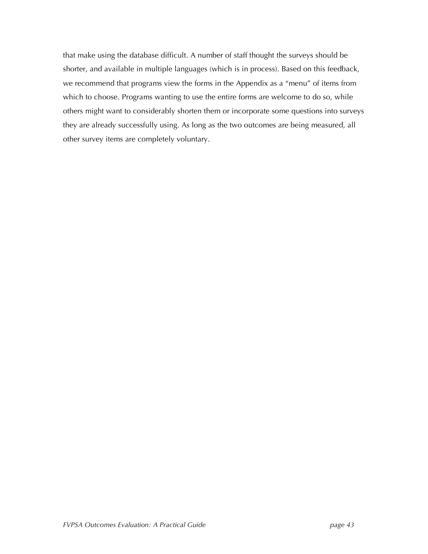that make using the database difficult. A number of staff thought the surveys should be shorter, and available in multiple languages (which is in process). Based on this feedback, we recommend that programs view the forms in the Appendix as a "menu" of items from which to choose. Programs wanting to use the entire forms are welcome to do so, while others might want to considerably shorten them or incorporate some questions into surveys they are already successfully using. As long as the two outcomes are being measured, all other survey items are completely voluntary.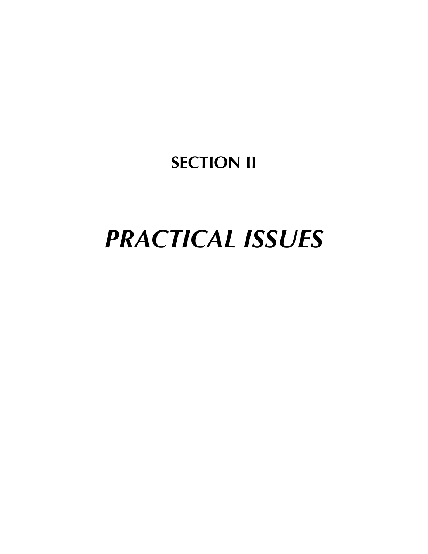## **SECTION II**

# *PRACTICAL ISSUES*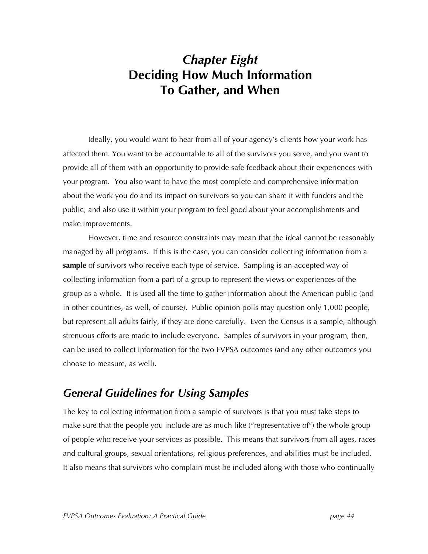## *Chapter Eight* **Deciding How Much Information To Gather, and When**

Ideally, you would want to hear from all of your agency's clients how your work has affected them. You want to be accountable to all of the survivors you serve, and you want to provide all of them with an opportunity to provide safe feedback about their experiences with your program. You also want to have the most complete and comprehensive information about the work you do and its impact on survivors so you can share it with funders and the public, and also use it within your program to feel good about your accomplishments and make improvements.

However, time and resource constraints may mean that the ideal cannot be reasonably managed by all programs. If this is the case, you can consider collecting information from a **sample** of survivors who receive each type of service. Sampling is an accepted way of collecting information from a part of a group to represent the views or experiences of the group as a whole. It is used all the time to gather information about the American public (and in other countries, as well, of course). Public opinion polls may question only 1,000 people, but represent all adults fairly, if they are done carefully. Even the Census is a sample, although strenuous efforts are made to include everyone. Samples of survivors in your program, then, can be used to collect information for the two FVPSA outcomes (and any other outcomes you choose to measure, as well).

## *General Guidelines for Using Samples*

The key to collecting information from a sample of survivors is that you must take steps to make sure that the people you include are as much like ("representative of") the whole group of people who receive your services as possible. This means that survivors from all ages, races and cultural groups, sexual orientations, religious preferences, and abilities must be included. It also means that survivors who complain must be included along with those who continually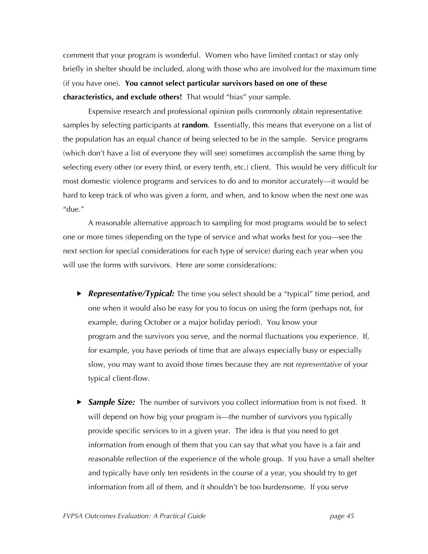comment that your program is wonderful. Women who have limited contact or stay only briefly in shelter should be included, along with those who are involved for the maximum time (if you have one). **You cannot select particular survivors based on one of these characteristics, and exclude others!** That would "bias" your sample.

Expensive research and professional opinion polls commonly obtain representative samples by selecting participants at **random**. Essentially, this means that everyone on a list of the population has an equal chance of being selected to be in the sample. Service programs (which don't have a list of everyone they will see) sometimes accomplish the same thing by selecting every other (or every third, or every tenth, etc.) client. This would be very difficult for most domestic violence programs and services to do and to monitor accurately—it would be hard to keep track of who was given a form, and when, and to know when the next one was "due."

A reasonable alternative approach to sampling for most programs would be to select one or more times (depending on the type of service and what works best for you—see the next section for special considerations for each type of service) during each year when you will use the forms with survivors. Here are some considerations:

- *Representative/Typical:* The time you select should be a "typical" time period, and one when it would also be easy for you to focus on using the form (perhaps not, for example, during October or a major holiday period). You know your program and the survivors you serve, and the normal fluctuations you experience. If, for example, you have periods of time that are always especially busy or especially slow, you may want to avoid those times because they are not *representative* of your typical client-flow.
- *Sample Size:* The number of survivors you collect information from is not fixed. It will depend on how big your program is—the number of survivors you typically provide specific services to in a given year. The idea is that you need to get information from enough of them that you can say that what you have is a fair and reasonable reflection of the experience of the whole group. If you have a small shelter and typically have only ten residents in the course of a year, you should try to get information from all of them, and it shouldn't be too burdensome. If you serve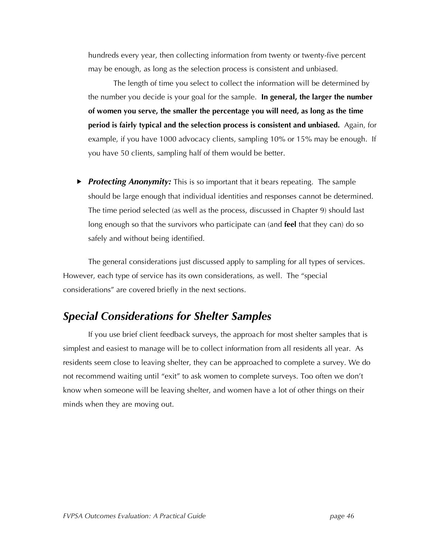hundreds every year, then collecting information from twenty or twenty-five percent may be enough, as long as the selection process is consistent and unbiased.

The length of time you select to collect the information will be determined by the number you decide is your goal for the sample. **In general, the larger the number of women you serve, the smaller the percentage you will need, as long as the time period is fairly typical and the selection process is consistent and unbiased.** Again, for example, if you have 1000 advocacy clients, sampling 10% or 15% may be enough. If you have 50 clients, sampling half of them would be better.

 *Protecting Anonymity:* This is so important that it bears repeating. The sample should be large enough that individual identities and responses cannot be determined. The time period selected (as well as the process, discussed in Chapter 9) should last long enough so that the survivors who participate can (and **feel** that they can) do so safely and without being identified.

The general considerations just discussed apply to sampling for all types of services. However, each type of service has its own considerations, as well. The "special considerations" are covered briefly in the next sections.

## *Special Considerations for Shelter Samples*

If you use brief client feedback surveys, the approach for most shelter samples that is simplest and easiest to manage will be to collect information from all residents all year. As residents seem close to leaving shelter, they can be approached to complete a survey. We do not recommend waiting until "exit" to ask women to complete surveys. Too often we don't know when someone will be leaving shelter, and women have a lot of other things on their minds when they are moving out.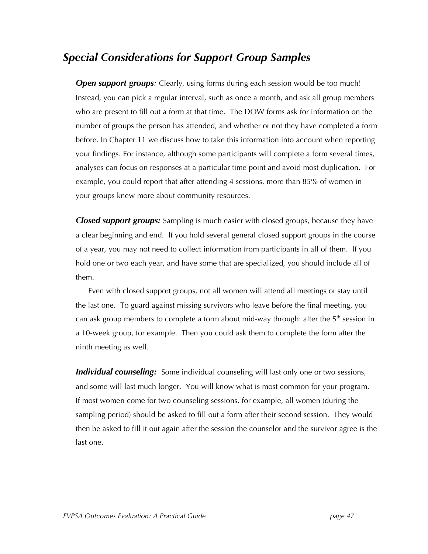## *Special Considerations for Support Group Samples*

*Open support groups:* Clearly, using forms during each session would be too much! Instead, you can pick a regular interval, such as once a month, and ask all group members who are present to fill out a form at that time. The DOW forms ask for information on the number of groups the person has attended, and whether or not they have completed a form before. In Chapter 11 we discuss how to take this information into account when reporting your findings. For instance, although some participants will complete a form several times, analyses can focus on responses at a particular time point and avoid most duplication. For example, you could report that after attending 4 sessions, more than 85% of women in your groups knew more about community resources.

*Closed support groups:* Sampling is much easier with closed groups, because they have a clear beginning and end. If you hold several general closed support groups in the course of a year, you may not need to collect information from participants in all of them. If you hold one or two each year, and have some that are specialized, you should include all of them.

Even with closed support groups, not all women will attend all meetings or stay until the last one. To guard against missing survivors who leave before the final meeting, you can ask group members to complete a form about mid-way through: after the  $5<sup>th</sup>$  session in a 10-week group, for example. Then you could ask them to complete the form after the ninth meeting as well.

*Individual counseling:* Some individual counseling will last only one or two sessions, and some will last much longer. You will know what is most common for your program. If most women come for two counseling sessions, for example, all women (during the sampling period) should be asked to fill out a form after their second session. They would then be asked to fill it out again after the session the counselor and the survivor agree is the last one.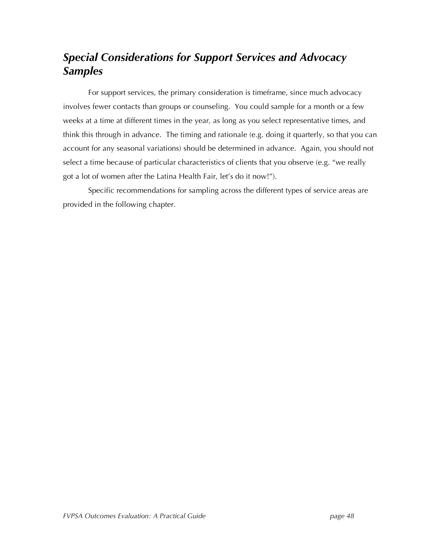## *Special Considerations for Support Services and Advocacy Samples*

For support services, the primary consideration is timeframe, since much advocacy involves fewer contacts than groups or counseling. You could sample for a month or a few weeks at a time at different times in the year, as long as you select representative times, and think this through in advance. The timing and rationale (e.g. doing it quarterly, so that you can account for any seasonal variations) should be determined in advance. Again, you should not select a time because of particular characteristics of clients that you observe (e.g. "we really got a lot of women after the Latina Health Fair, let's do it now!").

Specific recommendations for sampling across the different types of service areas are provided in the following chapter.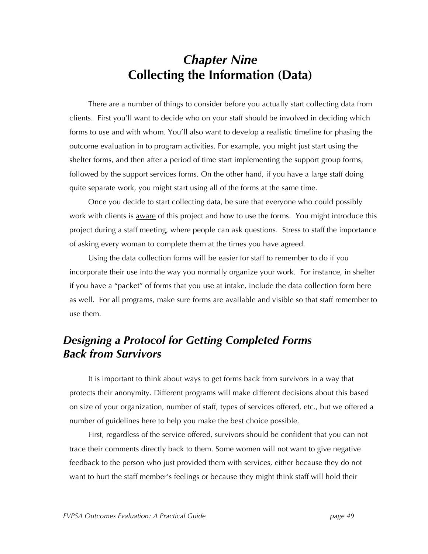## *Chapter Nine* **Collecting the Information (Data)**

There are a number of things to consider before you actually start collecting data from clients. First you'll want to decide who on your staff should be involved in deciding which forms to use and with whom. You'll also want to develop a realistic timeline for phasing the outcome evaluation in to program activities. For example, you might just start using the shelter forms, and then after a period of time start implementing the support group forms, followed by the support services forms. On the other hand, if you have a large staff doing quite separate work, you might start using all of the forms at the same time.

Once you decide to start collecting data, be sure that everyone who could possibly work with clients is <u>aware</u> of this project and how to use the forms. You might introduce this project during a staff meeting, where people can ask questions. Stress to staff the importance of asking every woman to complete them at the times you have agreed.

Using the data collection forms will be easier for staff to remember to do if you incorporate their use into the way you normally organize your work. For instance, in shelter if you have a "packet" of forms that you use at intake, include the data collection form here as well. For all programs, make sure forms are available and visible so that staff remember to use them.

## *Designing a Protocol for Getting Completed Forms Back from Survivors*

It is important to think about ways to get forms back from survivors in a way that protects their anonymity. Different programs will make different decisions about this based on size of your organization, number of staff, types of services offered, etc., but we offered a number of guidelines here to help you make the best choice possible.

First, regardless of the service offered, survivors should be confident that you can not trace their comments directly back to them. Some women will not want to give negative feedback to the person who just provided them with services, either because they do not want to hurt the staff member's feelings or because they might think staff will hold their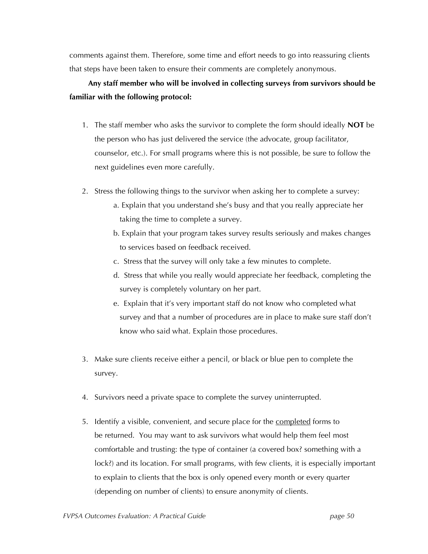comments against them. Therefore, some time and effort needs to go into reassuring clients that steps have been taken to ensure their comments are completely anonymous.

#### **Any staff member who will be involved in collecting surveys from survivors should be familiar with the following protocol:**

- 1. The staff member who asks the survivor to complete the form should ideally **NOT** be the person who has just delivered the service (the advocate, group facilitator, counselor, etc.). For small programs where this is not possible, be sure to follow the next guidelines even more carefully.
- 2. Stress the following things to the survivor when asking her to complete a survey:
	- a. Explain that you understand she's busy and that you really appreciate her taking the time to complete a survey.
	- b. Explain that your program takes survey results seriously and makes changes to services based on feedback received.
	- c. Stress that the survey will only take a few minutes to complete.
	- d. Stress that while you really would appreciate her feedback, completing the survey is completely voluntary on her part.
	- e. Explain that it's very important staff do not know who completed what survey and that a number of procedures are in place to make sure staff don't know who said what. Explain those procedures.
- 3. Make sure clients receive either a pencil, or black or blue pen to complete the survey.
- 4. Survivors need a private space to complete the survey uninterrupted.
- 5. Identify a visible, convenient, and secure place for the completed forms to be returned. You may want to ask survivors what would help them feel most comfortable and trusting: the type of container (a covered box? something with a lock?) and its location. For small programs, with few clients, it is especially important to explain to clients that the box is only opened every month or every quarter (depending on number of clients) to ensure anonymity of clients.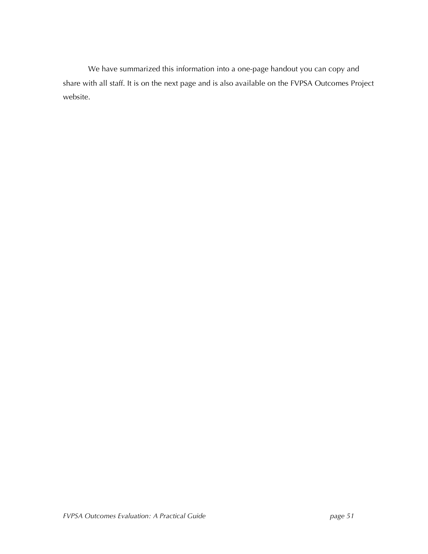We have summarized this information into a one-page handout you can copy and share with all staff. It is on the next page and is also available on the FVPSA Outcomes Project website.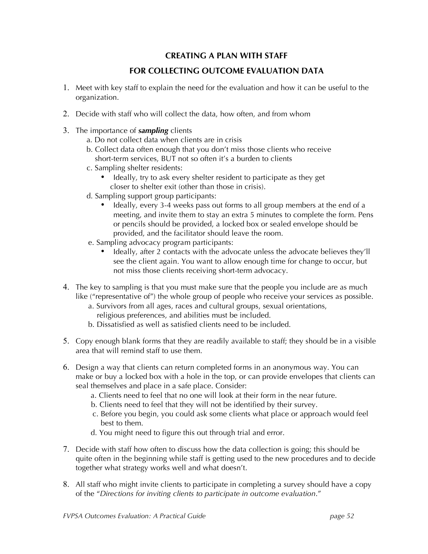#### **CREATING A PLAN WITH STAFF**

#### **FOR COLLECTING OUTCOME EVALUATION DATA**

- 1. Meet with key staff to explain the need for the evaluation and how it can be useful to the organization.
- 2. Decide with staff who will collect the data, how often, and from whom
- 3. The importance of *sampling* clients
	- a. Do not collect data when clients are in crisis
	- b. Collect data often enough that you don't miss those clients who receive short-term services, BUT not so often it's a burden to clients
	- c. Sampling shelter residents:
		- Ideally, try to ask every shelter resident to participate as they get closer to shelter exit (other than those in crisis).
	- d. Sampling support group participants:
		- Ideally, every 3-4 weeks pass out forms to all group members at the end of a meeting, and invite them to stay an extra 5 minutes to complete the form. Pens or pencils should be provided, a locked box or sealed envelope should be provided, and the facilitator should leave the room.
	- e. Sampling advocacy program participants:
		- Ideally, after 2 contacts with the advocate unless the advocate believes they'll see the client again. You want to allow enough time for change to occur, but not miss those clients receiving short-term advocacy.
- 4. The key to sampling is that you must make sure that the people you include are as much like ("representative of") the whole group of people who receive your services as possible.
	- a. Survivors from all ages, races and cultural groups, sexual orientations, religious preferences, and abilities must be included.
	- b. Dissatisfied as well as satisfied clients need to be included.
- 5. Copy enough blank forms that they are readily available to staff; they should be in a visible area that will remind staff to use them.
- 6. Design a way that clients can return completed forms in an anonymous way. You can make or buy a locked box with a hole in the top, or can provide envelopes that clients can seal themselves and place in a safe place. Consider:
	- a. Clients need to feel that no one will look at their form in the near future.
	- b. Clients need to feel that they will not be identified by their survey.
	- c. Before you begin, you could ask some clients what place or approach would feel best to them.
	- d. You might need to figure this out through trial and error.
- 7. Decide with staff how often to discuss how the data collection is going; this should be quite often in the beginning while staff is getting used to the new procedures and to decide together what strategy works well and what doesn't.
- 8. All staff who might invite clients to participate in completing a survey should have a copy of the "*Directions for inviting clients to participate in outcome evaluation*."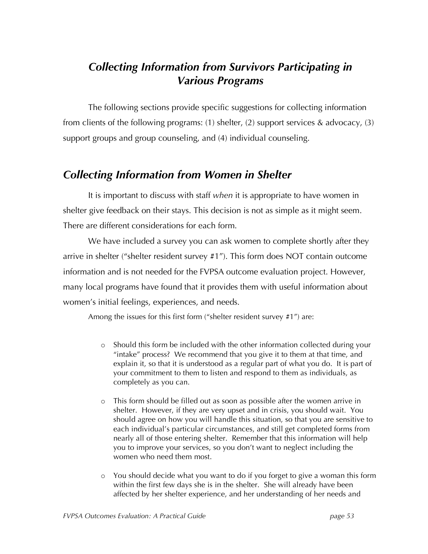## *Collecting Information from Survivors Participating in Various Programs*

The following sections provide specific suggestions for collecting information from clients of the following programs: (1) shelter, (2) support services & advocacy, (3) support groups and group counseling, and (4) individual counseling.

## *Collecting Information from Women in Shelter*

It is important to discuss with staff *when* it is appropriate to have women in shelter give feedback on their stays. This decision is not as simple as it might seem. There are different considerations for each form.

We have included a survey you can ask women to complete shortly after they arrive in shelter ("shelter resident survey #1"). This form does NOT contain outcome information and is not needed for the FVPSA outcome evaluation project. However, many local programs have found that it provides them with useful information about women's initial feelings, experiences, and needs.

Among the issues for this first form ("shelter resident survey #1") are:

- o Should this form be included with the other information collected during your "intake" process? We recommend that you give it to them at that time, and explain it, so that it is understood as a regular part of what you do. It is part of your commitment to them to listen and respond to them as individuals, as completely as you can.
- o This form should be filled out as soon as possible after the women arrive in shelter. However, if they are very upset and in crisis, you should wait. You should agree on how you will handle this situation, so that you are sensitive to each individual's particular circumstances, and still get completed forms from nearly all of those entering shelter. Remember that this information will help you to improve your services, so you don't want to neglect including the women who need them most.
- o You should decide what you want to do if you forget to give a woman this form within the first few days she is in the shelter. She will already have been affected by her shelter experience, and her understanding of her needs and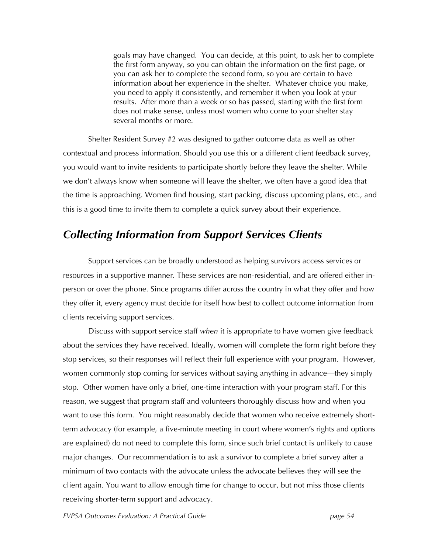goals may have changed. You can decide, at this point, to ask her to complete the first form anyway, so you can obtain the information on the first page, or you can ask her to complete the second form, so you are certain to have information about her experience in the shelter. Whatever choice you make, you need to apply it consistently, and remember it when you look at your results. After more than a week or so has passed, starting with the first form does not make sense, unless most women who come to your shelter stay several months or more.

Shelter Resident Survey #2 was designed to gather outcome data as well as other contextual and process information. Should you use this or a different client feedback survey, you would want to invite residents to participate shortly before they leave the shelter. While we don't always know when someone will leave the shelter, we often have a good idea that the time is approaching. Women find housing, start packing, discuss upcoming plans, etc., and this is a good time to invite them to complete a quick survey about their experience.

#### *Collecting Information from Support Services Clients*

Support services can be broadly understood as helping survivors access services or resources in a supportive manner. These services are non-residential, and are offered either inperson or over the phone. Since programs differ across the country in what they offer and how they offer it, every agency must decide for itself how best to collect outcome information from clients receiving support services.

Discuss with support service staff *when* it is appropriate to have women give feedback about the services they have received. Ideally, women will complete the form right before they stop services, so their responses will reflect their full experience with your program. However, women commonly stop coming for services without saying anything in advance—they simply stop. Other women have only a brief, one-time interaction with your program staff. For this reason, we suggest that program staff and volunteers thoroughly discuss how and when you want to use this form. You might reasonably decide that women who receive extremely shortterm advocacy (for example, a five-minute meeting in court where women's rights and options are explained) do not need to complete this form, since such brief contact is unlikely to cause major changes. Our recommendation is to ask a survivor to complete a brief survey after a minimum of two contacts with the advocate unless the advocate believes they will see the client again. You want to allow enough time for change to occur, but not miss those clients receiving shorter-term support and advocacy.

*FVPSA Outcomes Evaluation: A Practical Guide page 54*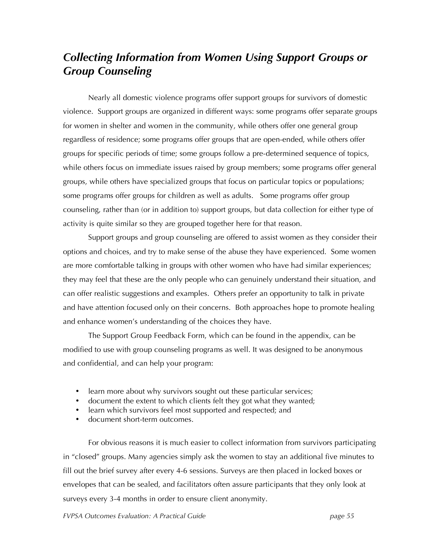## *Collecting Information from Women Using Support Groups or Group Counseling*

Nearly all domestic violence programs offer support groups for survivors of domestic violence. Support groups are organized in different ways: some programs offer separate groups for women in shelter and women in the community, while others offer one general group regardless of residence; some programs offer groups that are open-ended, while others offer groups for specific periods of time; some groups follow a pre-determined sequence of topics, while others focus on immediate issues raised by group members; some programs offer general groups, while others have specialized groups that focus on particular topics or populations; some programs offer groups for children as well as adults. Some programs offer group counseling, rather than (or in addition to) support groups, but data collection for either type of activity is quite similar so they are grouped together here for that reason.

Support groups and group counseling are offered to assist women as they consider their options and choices, and try to make sense of the abuse they have experienced. Some women are more comfortable talking in groups with other women who have had similar experiences; they may feel that these are the only people who can genuinely understand their situation, and can offer realistic suggestions and examples. Others prefer an opportunity to talk in private and have attention focused only on their concerns. Both approaches hope to promote healing and enhance women's understanding of the choices they have.

The Support Group Feedback Form, which can be found in the appendix, can be modified to use with group counseling programs as well. It was designed to be anonymous and confidential, and can help your program:

- learn more about why survivors sought out these particular services;
- document the extent to which clients felt they got what they wanted;
- learn which survivors feel most supported and respected; and
- document short-term outcomes.

For obvious reasons it is much easier to collect information from survivors participating in "closed" groups. Many agencies simply ask the women to stay an additional five minutes to fill out the brief survey after every 4-6 sessions. Surveys are then placed in locked boxes or envelopes that can be sealed, and facilitators often assure participants that they only look at surveys every 3-4 months in order to ensure client anonymity.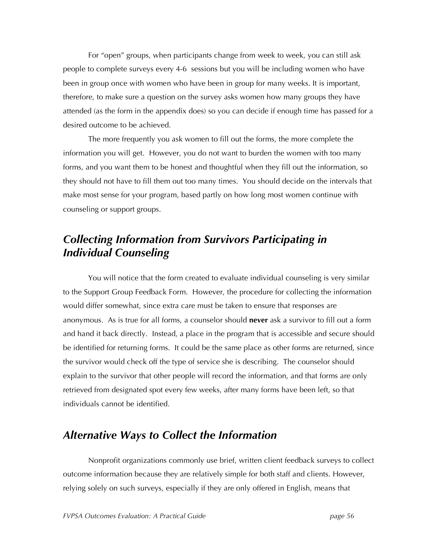For "open" groups, when participants change from week to week, you can still ask people to complete surveys every 4-6 sessions but you will be including women who have been in group once with women who have been in group for many weeks. It is important, therefore, to make sure a question on the survey asks women how many groups they have attended (as the form in the appendix does) so you can decide if enough time has passed for a desired outcome to be achieved.

The more frequently you ask women to fill out the forms, the more complete the information you will get. However, you do not want to burden the women with too many forms, and you want them to be honest and thoughtful when they fill out the information, so they should not have to fill them out too many times. You should decide on the intervals that make most sense for your program, based partly on how long most women continue with counseling or support groups.

## *Collecting Information from Survivors Participating in Individual Counseling*

You will notice that the form created to evaluate individual counseling is very similar to the Support Group Feedback Form. However, the procedure for collecting the information would differ somewhat, since extra care must be taken to ensure that responses are anonymous. As is true for all forms, a counselor should **never** ask a survivor to fill out a form and hand it back directly. Instead, a place in the program that is accessible and secure should be identified for returning forms. It could be the same place as other forms are returned, since the survivor would check off the type of service she is describing. The counselor should explain to the survivor that other people will record the information, and that forms are only retrieved from designated spot every few weeks, after many forms have been left, so that individuals cannot be identified.

## *Alternative Ways to Collect the Information*

Nonprofit organizations commonly use brief, written client feedback surveys to collect outcome information because they are relatively simple for both staff and clients. However, relying solely on such surveys, especially if they are only offered in English, means that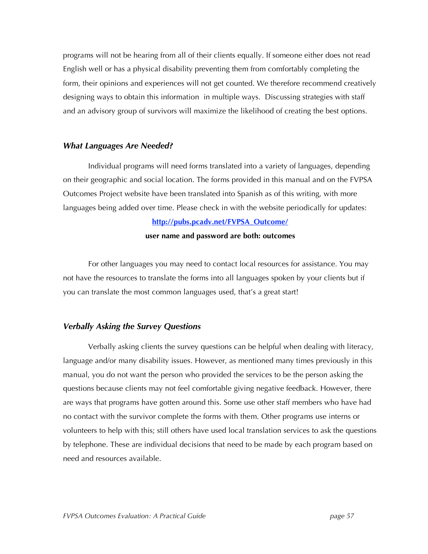programs will not be hearing from all of their clients equally. If someone either does not read English well or has a physical disability preventing them from comfortably completing the form, their opinions and experiences will not get counted. We therefore recommend creatively designing ways to obtain this information in multiple ways. Discussing strategies with staff and an advisory group of survivors will maximize the likelihood of creating the best options.

#### *What Languages Are Needed?*

Individual programs will need forms translated into a variety of languages, depending on their geographic and social location. The forms provided in this manual and on the FVPSA Outcomes Project website have been translated into Spanish as of this writing, with more languages being added over time. Please check in with the website periodically for updates:

#### **http://pubs.pcadv.net/FVPSA\_Outcome/**

#### **user name and password are both: outcomes**

For other languages you may need to contact local resources for assistance. You may not have the resources to translate the forms into all languages spoken by your clients but if you can translate the most common languages used, that's a great start!

#### *Verbally Asking the Survey Questions*

Verbally asking clients the survey questions can be helpful when dealing with literacy, language and/or many disability issues. However, as mentioned many times previously in this manual, you do not want the person who provided the services to be the person asking the questions because clients may not feel comfortable giving negative feedback. However, there are ways that programs have gotten around this. Some use other staff members who have had no contact with the survivor complete the forms with them. Other programs use interns or volunteers to help with this; still others have used local translation services to ask the questions by telephone. These are individual decisions that need to be made by each program based on need and resources available.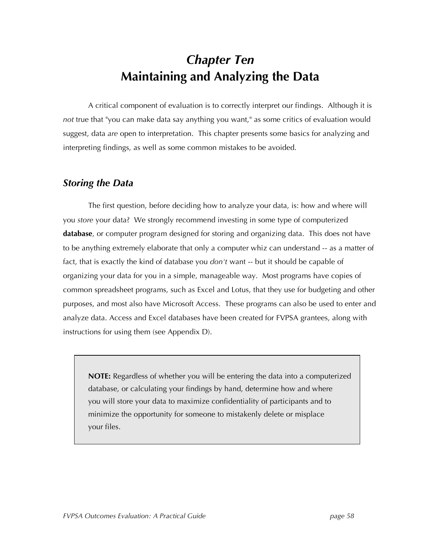## *Chapter Ten* **Maintaining and Analyzing the Data**

A critical component of evaluation is to correctly interpret our findings. Although it is *not* true that "you can make data say anything you want," as some critics of evaluation would suggest, data *are* open to interpretation. This chapter presents some basics for analyzing and interpreting findings, as well as some common mistakes to be avoided.

#### *Storing the Data*

The first question, before deciding how to analyze your data, is: how and where will you *store* your data? We strongly recommend investing in some type of computerized **database**, or computer program designed for storing and organizing data. This does not have to be anything extremely elaborate that only a computer whiz can understand -- as a matter of fact, that is exactly the kind of database you *don't* want -- but it should be capable of organizing your data for you in a simple, manageable way. Most programs have copies of common spreadsheet programs, such as Excel and Lotus, that they use for budgeting and other purposes, and most also have Microsoft Access. These programs can also be used to enter and analyze data. Access and Excel databases have been created for FVPSA grantees, along with instructions for using them (see Appendix D).

**NOTE:** Regardless of whether you will be entering the data into a computerized database, or calculating your findings by hand, determine how and where you will store your data to maximize confidentiality of participants and to minimize the opportunity for someone to mistakenly delete or misplace your files.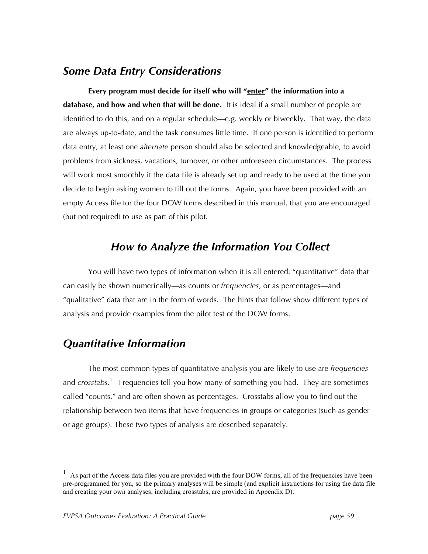#### *Some Data Entry Considerations*

**Every program must decide for itself who will "enter" the information into a database, and how and when that will be done.** It is ideal if a small number of people are identified to do this, and on a regular schedule—e.g. weekly or biweekly. That way, the data are always up-to-date, and the task consumes little time. If one person is identified to perform data entry, at least one *alternate* person should also be selected and knowledgeable, to avoid problems from sickness, vacations, turnover, or other unforeseen circumstances. The process will work most smoothly if the data file is already set up and ready to be used at the time you decide to begin asking women to fill out the forms. Again, you have been provided with an empty Access file for the four DOW forms described in this manual, that you are encouraged (but not required) to use as part of this pilot.

## *How to Analyze the Information You Collect*

You will have two types of information when it is all entered: "quantitative" data that can easily be shown numerically—as counts or *frequencies*, or as percentages—and "qualitative" data that are in the form of words. The hints that follow show different types of analysis and provide examples from the pilot test of the DOW forms.

## *Quantitative Information*

The most common types of quantitative analysis you are likely to use are *frequencies* and *crosstabs*. <sup>1</sup> Frequencies tell you how many of something you had. They are sometimes called "counts," and are often shown as percentages. Crosstabs allow you to find out the relationship between two items that have frequencies in groups or categories (such as gender or age groups). These two types of analysis are described separately.

As part of the Access data files you are provided with the four DOW forms, all of the frequencies have been pre-programmed for you, so the primary analyses will be simple (and explicit instructions for using the data file and creating your own analyses, including crosstabs, are provided in Appendix D).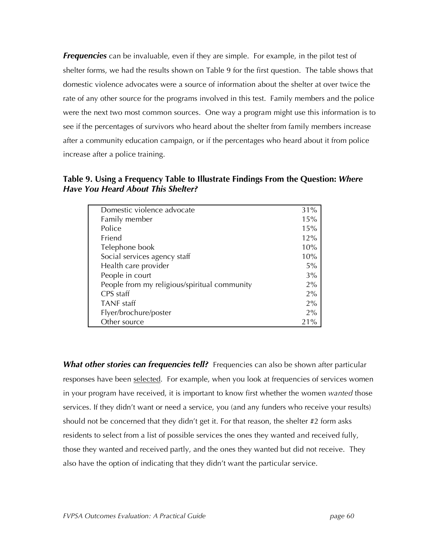*Frequencies* can be invaluable, even if they are simple. For example, in the pilot test of shelter forms, we had the results shown on Table 9 for the first question. The table shows that domestic violence advocates were a source of information about the shelter at over twice the rate of any other source for the programs involved in this test. Family members and the police were the next two most common sources. One way a program might use this information is to see if the percentages of survivors who heard about the shelter from family members increase after a community education campaign, or if the percentages who heard about it from police increase after a police training.

**Table 9. Using a Frequency Table to Illustrate Findings From the Question:** *Where Have You Heard About This Shelter?*

| Domestic violence advocate                   | 31% |
|----------------------------------------------|-----|
| Family member                                | 15% |
| Police                                       | 15% |
| Friend                                       | 12% |
| Telephone book                               | 10% |
| Social services agency staff                 | 10% |
| Health care provider                         | 5%  |
| People in court                              | 3%  |
| People from my religious/spiritual community | 2%  |
| CPS staff                                    | 2%  |
| <b>TANF</b> staff                            | 2%  |
| Flyer/brochure/poster                        | 2%  |
| Other source                                 | 21% |

*What other stories can frequencies tell?* Frequencies can also be shown after particular responses have been selected. For example, when you look at frequencies of services women in your program have received, it is important to know first whether the women *wanted* those services. If they didn't want or need a service, you (and any funders who receive your results) should not be concerned that they didn't get it. For that reason, the shelter #2 form asks residents to select from a list of possible services the ones they wanted and received fully, those they wanted and received partly, and the ones they wanted but did not receive. They also have the option of indicating that they didn't want the particular service.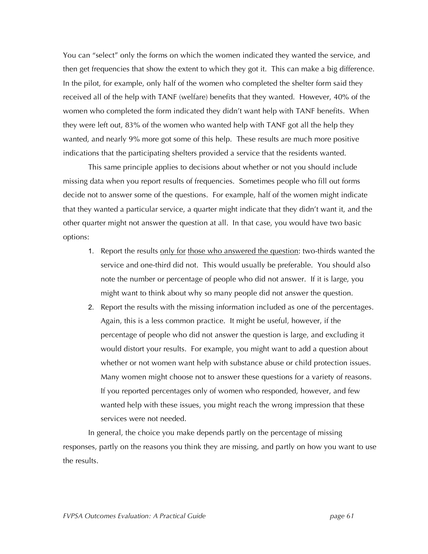You can "select" only the forms on which the women indicated they wanted the service, and then get frequencies that show the extent to which they got it. This can make a big difference. In the pilot, for example, only half of the women who completed the shelter form said they received all of the help with TANF (welfare) benefits that they wanted. However, 40% of the women who completed the form indicated they didn't want help with TANF benefits. When they were left out, 83% of the women who wanted help with TANF got all the help they wanted, and nearly 9% more got some of this help. These results are much more positive indications that the participating shelters provided a service that the residents wanted.

This same principle applies to decisions about whether or not you should include missing data when you report results of frequencies. Sometimes people who fill out forms decide not to answer some of the questions. For example, half of the women might indicate that they wanted a particular service, a quarter might indicate that they didn't want it, and the other quarter might not answer the question at all. In that case, you would have two basic options:

- 1. Report the results only for those who answered the question: two-thirds wanted the service and one-third did not. This would usually be preferable. You should also note the number or percentage of people who did not answer. If it is large, you might want to think about why so many people did not answer the question.
- 2. Report the results with the missing information included as one of the percentages. Again, this is a less common practice. It might be useful, however, if the percentage of people who did not answer the question is large, and excluding it would distort your results. For example, you might want to add a question about whether or not women want help with substance abuse or child protection issues. Many women might choose not to answer these questions for a variety of reasons. If you reported percentages only of women who responded, however, and few wanted help with these issues, you might reach the wrong impression that these services were not needed.

In general, the choice you make depends partly on the percentage of missing responses, partly on the reasons you think they are missing, and partly on how you want to use the results.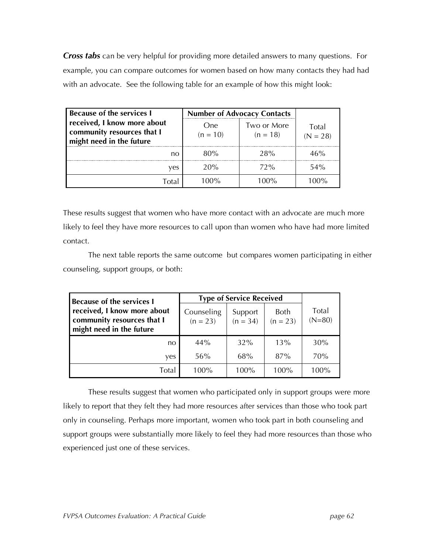*Cross tabs* can be very helpful for providing more detailed answers to many questions. For example, you can compare outcomes for women based on how many contacts they had had with an advocate. See the following table for an example of how this might look:

| <b>Because of the services I</b>                                                      | <b>Number of Advocacy Contacts</b> |                           |                     |
|---------------------------------------------------------------------------------------|------------------------------------|---------------------------|---------------------|
| received, I know more about<br>community resources that I<br>might need in the future | One<br>$(n = 10)$                  | Two or More<br>$(n = 18)$ | Total<br>$(N = 28)$ |
| no                                                                                    | 80%                                | 28%                       | 46%                 |
| ves                                                                                   | 20%                                | 72%                       | 54%                 |
| <b>Total</b>                                                                          | 1በበ%                               | 100%                      | $\Omega$            |

These results suggest that women who have more contact with an advocate are much more likely to feel they have more resources to call upon than women who have had more limited contact.

The next table reports the same outcome but compares women participating in either counseling, support groups, or both:

| <b>Because of the services I</b>                                                      | <b>Type of Service Received</b> |                       |                    |                   |
|---------------------------------------------------------------------------------------|---------------------------------|-----------------------|--------------------|-------------------|
| received, I know more about<br>community resources that I<br>might need in the future | Counseling<br>$(n = 23)$        | Support<br>$(n = 34)$ | Both<br>$(n = 23)$ | Total<br>$(N=80)$ |
| no                                                                                    | 44%                             | 32%                   | 13%                | 30%               |
| yes                                                                                   | 56%                             | 68%                   | 87%                | 70%               |
| Total                                                                                 | 100%                            | 100%                  | $100\%$            | 100%              |

These results suggest that women who participated only in support groups were more likely to report that they felt they had more resources after services than those who took part only in counseling. Perhaps more important, women who took part in both counseling and support groups were substantially more likely to feel they had more resources than those who experienced just one of these services.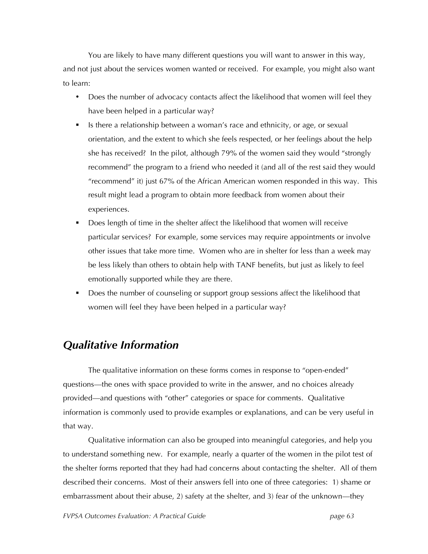You are likely to have many different questions you will want to answer in this way, and not just about the services women wanted or received. For example, you might also want to learn:

- Does the number of advocacy contacts affect the likelihood that women will feel they have been helped in a particular way?
- Is there a relationship between a woman's race and ethnicity, or age, or sexual orientation, and the extent to which she feels respected, or her feelings about the help she has received? In the pilot, although 79% of the women said they would "strongly recommend" the program to a friend who needed it (and all of the rest said they would "recommend" it) just 67% of the African American women responded in this way. This result might lead a program to obtain more feedback from women about their experiences.
- Does length of time in the shelter affect the likelihood that women will receive particular services? For example, some services may require appointments or involve other issues that take more time. Women who are in shelter for less than a week may be less likely than others to obtain help with TANF benefits, but just as likely to feel emotionally supported while they are there.
- Does the number of counseling or support group sessions affect the likelihood that women will feel they have been helped in a particular way?

## *Qualitative Information*

The qualitative information on these forms comes in response to "open-ended" questions—the ones with space provided to write in the answer, and no choices already provided—and questions with "other" categories or space for comments. Qualitative information is commonly used to provide examples or explanations, and can be very useful in that way.

Qualitative information can also be grouped into meaningful categories, and help you to understand something new. For example, nearly a quarter of the women in the pilot test of the shelter forms reported that they had had concerns about contacting the shelter. All of them described their concerns. Most of their answers fell into one of three categories: 1) shame or embarrassment about their abuse, 2) safety at the shelter, and 3) fear of the unknown—they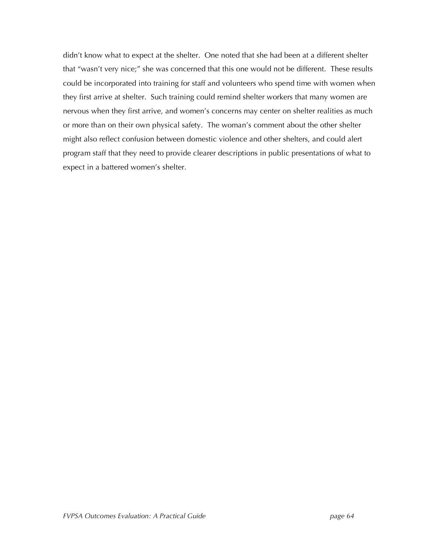didn't know what to expect at the shelter. One noted that she had been at a different shelter that "wasn't very nice;" she was concerned that this one would not be different. These results could be incorporated into training for staff and volunteers who spend time with women when they first arrive at shelter. Such training could remind shelter workers that many women are nervous when they first arrive, and women's concerns may center on shelter realities as much or more than on their own physical safety. The woman's comment about the other shelter might also reflect confusion between domestic violence and other shelters, and could alert program staff that they need to provide clearer descriptions in public presentations of what to expect in a battered women's shelter.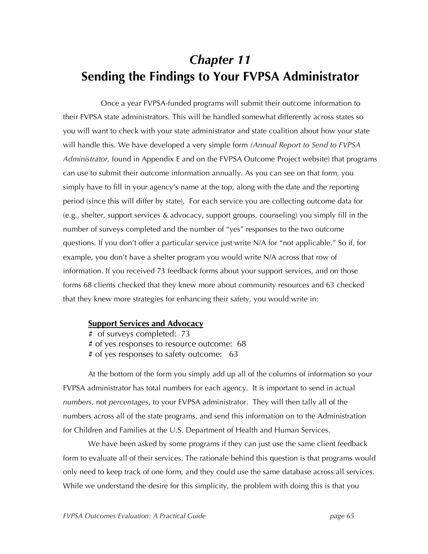## *Chapter 11* **Sending the Findings to Your FVPSA Administrator**

Once a year FVPSA-funded programs will submit their outcome information to their FVPSA state administrators. This will be handled somewhat differently across states so you will want to check with your state administrator and state coalition about how your state will handle this. We have developed a very simple form *(Annual Report to Send to FVPSA Administrator,* found in Appendix E and on the FVPSA Outcome Project website) that programs can use to submit their outcome information annually. As you can see on that form, you simply have to fill in your agency's name at the top, along with the date and the reporting period (since this will differ by state). For each service you are collecting outcome data for (e.g., shelter, support services & advocacy, support groups, counseling) you simply fill in the number of surveys completed and the number of "yes" responses to the two outcome questions. If you don't offer a particular service just write N/A for "not applicable." So if, for example, you don't have a shelter program you would write N/A across that row of information. If you received 73 feedback forms about your support services, and on those forms 68 clients checked that they knew more about community resources and 63 checked that they knew more strategies for enhancing their safety, you would write in:

#### **Support Services and Advocacy**

# of surveys completed: 73

# of yes responses to resource outcome: 68

# of yes responses to safety outcome: 63

At the bottom of the form you simply add up all of the columns of information so your FVPSA administrator has total numbers for each agency. It is important to send in actual *numbers*, not *percentages*, to your FVPSA administrator. They will then tally all of the numbers across all of the state programs, and send this information on to the Administration for Children and Families at the U.S. Department of Health and Human Services.

We have been asked by some programs if they can just use the same client feedback form to evaluate all of their services. The rationale behind this question is that programs would only need to keep track of one form, and they could use the same database across all services. While we understand the desire for this simplicity, the problem with doing this is that you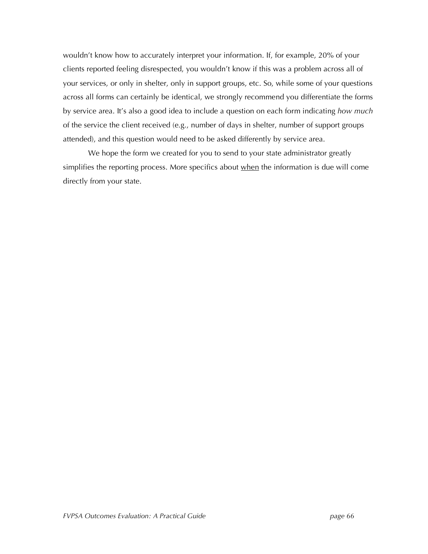wouldn't know how to accurately interpret your information. If, for example, 20% of your clients reported feeling disrespected, you wouldn't know if this was a problem across all of your services, or only in shelter, only in support groups, etc. So, while some of your questions across all forms can certainly be identical, we strongly recommend you differentiate the forms by service area. It's also a good idea to include a question on each form indicating *how much* of the service the client received (e.g., number of days in shelter, number of support groups attended), and this question would need to be asked differently by service area.

We hope the form we created for you to send to your state administrator greatly simplifies the reporting process. More specifics about when the information is due will come directly from your state.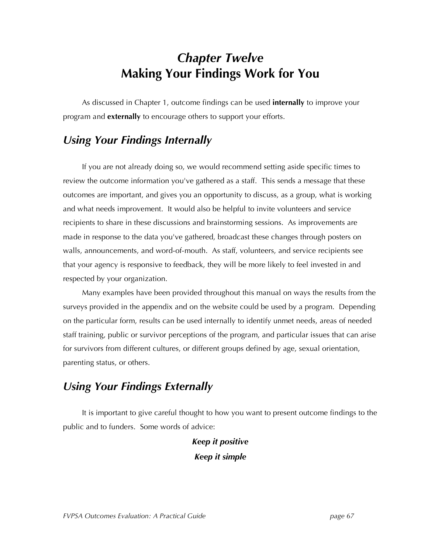# *Chapter Twelve* **Making Your Findings Work for You**

As discussed in Chapter 1, outcome findings can be used **internally** to improve your program and **externally** to encourage others to support your efforts.

### *Using Your Findings Internally*

If you are not already doing so, we would recommend setting aside specific times to review the outcome information you've gathered as a staff. This sends a message that these outcomes are important, and gives you an opportunity to discuss, as a group, what is working and what needs improvement. It would also be helpful to invite volunteers and service recipients to share in these discussions and brainstorming sessions. As improvements are made in response to the data you've gathered, broadcast these changes through posters on walls, announcements, and word-of-mouth. As staff, volunteers, and service recipients see that your agency is responsive to feedback, they will be more likely to feel invested in and respected by your organization.

Many examples have been provided throughout this manual on ways the results from the surveys provided in the appendix and on the website could be used by a program. Depending on the particular form, results can be used internally to identify unmet needs, areas of needed staff training, public or survivor perceptions of the program, and particular issues that can arise for survivors from different cultures, or different groups defined by age, sexual orientation, parenting status, or others.

## *Using Your Findings Externally*

It is important to give careful thought to how you want to present outcome findings to the public and to funders. Some words of advice:

### *Keep it positive Keep it simple*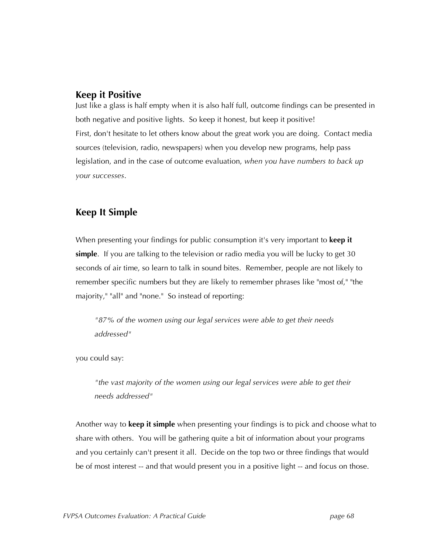#### **Keep it Positive**

Just like a glass is half empty when it is also half full, outcome findings can be presented in both negative and positive lights. So keep it honest, but keep it positive! First, don't hesitate to let others know about the great work you are doing. Contact media sources (television, radio, newspapers) when you develop new programs, help pass legislation, and in the case of outcome evaluation, *when you have numbers to back up your successes*.

#### **Keep It Simple**

When presenting your findings for public consumption it's very important to **keep it simple**. If you are talking to the television or radio media you will be lucky to get 30 seconds of air time, so learn to talk in sound bites. Remember, people are not likely to remember specific numbers but they are likely to remember phrases like "most of," "the majority," "all" and "none." So instead of reporting:

*"87% of the women using our legal services were able to get their needs addressed"*

you could say:

*"the vast majority of the women using our legal services were able to get their needs addressed"*

Another way to **keep it simple** when presenting your findings is to pick and choose what to share with others. You will be gathering quite a bit of information about your programs and you certainly can't present it all. Decide on the top two or three findings that would be of most interest -- and that would present you in a positive light -- and focus on those.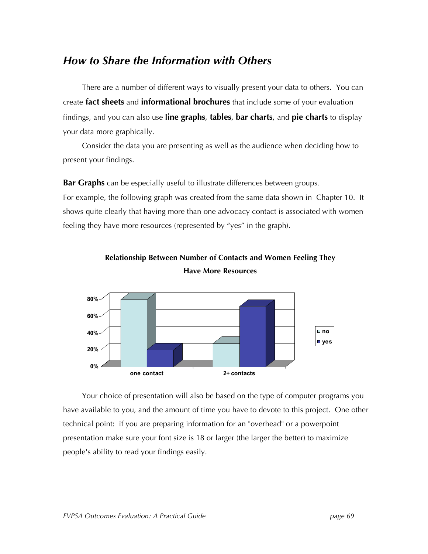#### *How to Share the Information with Others*

There are a number of different ways to visually present your data to others. You can create **fact sheets** and **informational brochures** that include some of your evaluation findings, and you can also use **line graphs**, **tables**, **bar charts**, and **pie charts** to display your data more graphically.

Consider the data you are presenting as well as the audience when deciding how to present your findings.

**Bar Graphs** can be especially useful to illustrate differences between groups. For example, the following graph was created from the same data shown in Chapter 10. It shows quite clearly that having more than one advocacy contact is associated with women feeling they have more resources (represented by "yes" in the graph).



**Relationship Between Number of Contacts and Women Feeling They Have More Resources**

Your choice of presentation will also be based on the type of computer programs you have available to you, and the amount of time you have to devote to this project. One other technical point: if you are preparing information for an "overhead" or a powerpoint presentation make sure your font size is 18 or larger (the larger the better) to maximize people's ability to read your findings easily.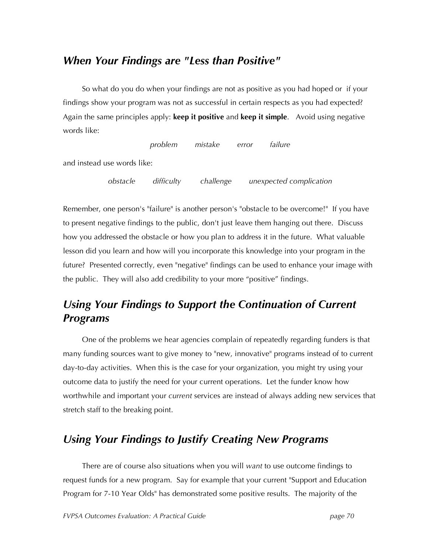#### *When Your Findings are "Less than Positive"*

So what do you do when your findings are not as positive as you had hoped or if your findings show your program was not as successful in certain respects as you had expected? Again the same principles apply: **keep it positive** and **keep it simple**. Avoid using negative words like:

*problem mistake error failure*

and instead use words like:

*obstacle difficulty challenge unexpected complication*

Remember, one person's "failure" is another person's "obstacle to be overcome!" If you have to present negative findings to the public, don't just leave them hanging out there. Discuss how you addressed the obstacle or how you plan to address it in the future. What valuable lesson did you learn and how will you incorporate this knowledge into your program in the future? Presented correctly, even "negative" findings can be used to enhance your image with the public. They will also add credibility to your more "positive" findings.

## *Using Your Findings to Support the Continuation of Current Programs*

One of the problems we hear agencies complain of repeatedly regarding funders is that many funding sources want to give money to "new, innovative" programs instead of to current day-to-day activities. When this is the case for your organization, you might try using your outcome data to justify the need for your current operations. Let the funder know how worthwhile and important your *current* services are instead of always adding new services that stretch staff to the breaking point.

## *Using Your Findings to Justify Creating New Programs*

There are of course also situations when you will *want* to use outcome findings to request funds for a new program. Say for example that your current "Support and Education Program for 7-10 Year Olds" has demonstrated some positive results. The majority of the